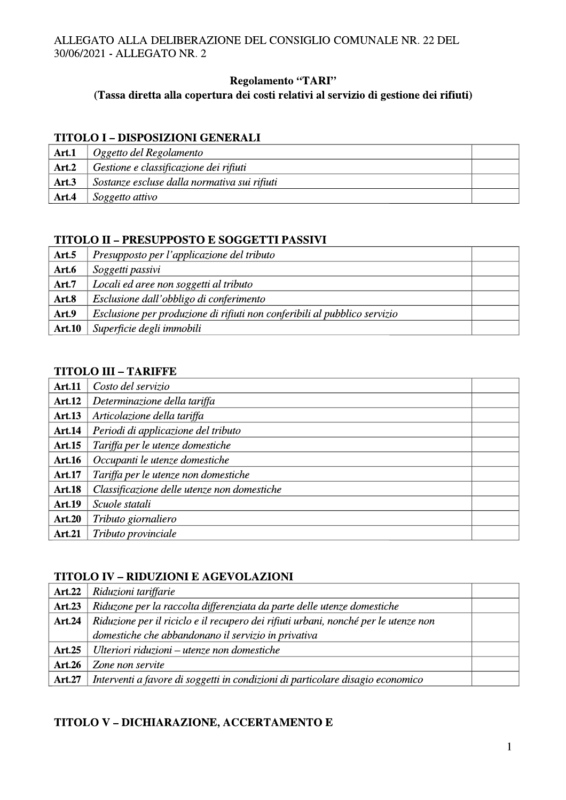# **Regolamento "TARI"**

# (Tassa diretta alla copertura dei costi relativi al servizio di gestione dei rifiuti)

# **TITOLO I - DISPOSIZIONI GENERALI**

| Art.1 | Oggetto del Regolamento                      |  |
|-------|----------------------------------------------|--|
| Art.2 | Gestione e classificazione dei rifiuti       |  |
| Art.3 | Sostanze escluse dalla normativa sui rifiuti |  |
| Art.4 | Soggetto attivo                              |  |

# TITOLO II - PRESUPPOSTO E SOGGETTI PASSIVI

| Art.5         | Presupposto per l'applicazione del tributo                                |  |
|---------------|---------------------------------------------------------------------------|--|
| Art.6         | Soggetti passivi                                                          |  |
| Art.7         | Locali ed aree non soggetti al tributo                                    |  |
| Art.8         | Esclusione dall'obbligo di conferimento                                   |  |
| Art.9         | Esclusione per produzione di rifiuti non conferibili al pubblico servizio |  |
| <b>Art.10</b> | Superficie degli immobili                                                 |  |

#### **TITOLO III - TARIFFE**

| <b>Art.11</b> | Costo del servizio                          |  |
|---------------|---------------------------------------------|--|
| <b>Art.12</b> | Determinazione della tariffa                |  |
| <b>Art.13</b> | Articolazione della tariffa                 |  |
| <b>Art.14</b> | Periodi di applicazione del tributo         |  |
| <b>Art.15</b> | Tariffa per le utenze domestiche            |  |
| <b>Art.16</b> | Occupanti le utenze domestiche              |  |
| <b>Art.17</b> | Tariffa per le utenze non domestiche        |  |
| <b>Art.18</b> | Classificazione delle utenze non domestiche |  |
| <b>Art.19</b> | Scuole statali                              |  |
| <b>Art.20</b> | Tributo giornaliero                         |  |
| <b>Art.21</b> | Tributo provinciale                         |  |

# **TITOLO IV - RIDUZIONI E AGEVOLAZIONI**

| <b>Art.22</b> | Riduzioni tariffarie                                                                |  |
|---------------|-------------------------------------------------------------------------------------|--|
| <b>Art.23</b> | Riduzone per la raccolta differenziata da parte delle utenze domestiche             |  |
| <b>Art.24</b> | Riduzione per il riciclo e il recupero dei rifiuti urbani, nonché per le utenze non |  |
|               | domestiche che abbandonano il servizio in privativa                                 |  |
| <b>Art.25</b> | Ulteriori riduzioni – utenze non domestiche                                         |  |
| <b>Art.26</b> | Zone non servite                                                                    |  |
| <b>Art.27</b> | Interventi a favore di soggetti in condizioni di particolare disagio economico      |  |

# TITOLO V-DICHIARAZIONE, ACCERTAMENTO E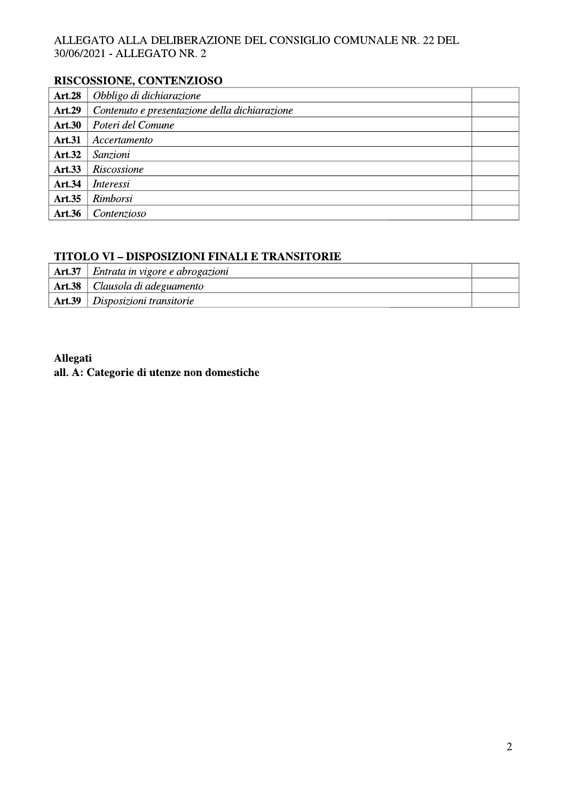# RISCOSSIONE, CONTENZIOSO

| <b>Art.28</b> | Obbligo di dichiarazione                      |  |
|---------------|-----------------------------------------------|--|
| <b>Art.29</b> | Contenuto e presentazione della dichiarazione |  |
| <b>Art.30</b> | Poteri del Comune                             |  |
| <b>Art.31</b> | Accertamento                                  |  |
| <b>Art.32</b> | Sanzioni                                      |  |
| <b>Art.33</b> | Riscossione                                   |  |
| Art.34        | <i>Interessi</i>                              |  |
| <b>Art.35</b> | Rimborsi                                      |  |
| <b>Art.36</b> | Contenzioso                                   |  |

# TITOLO VI - DISPOSIZIONI FINALI E TRANSITORIE

| <b>Art.37</b> | Entrata in vigore e abrogazioni  |  |
|---------------|----------------------------------|--|
|               | Art.38   Clausola di adeguamento |  |
| <b>Art.39</b> | $\Box$ Disposizioni transitorie  |  |

# Allegati

# all. A: Categorie di utenze non domestiche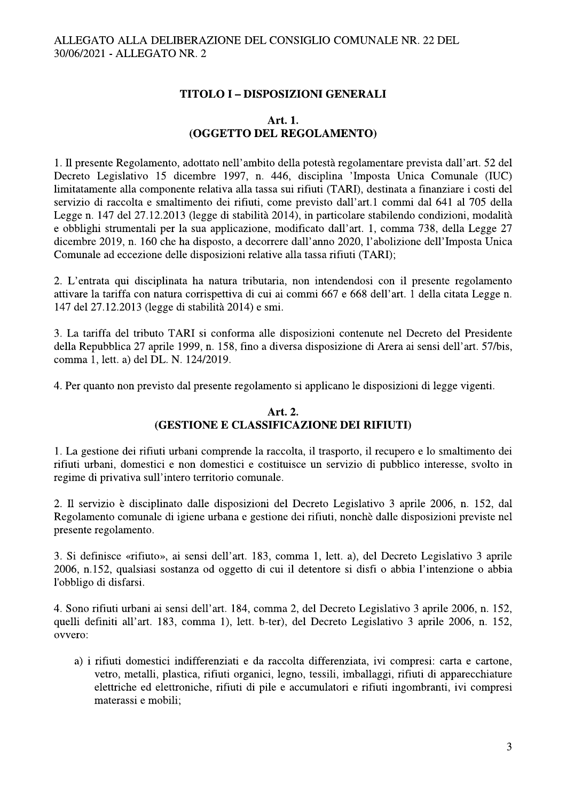# **TITOLO I - DISPOSIZIONI GENERALI**

# Art. 1. (OGGETTO DEL REGOLAMENTO)

1. Il presente Regolamento, adottato nell'ambito della potestà regolamentare prevista dall'art. 52 del Decreto Legislativo 15 dicembre 1997, n. 446, disciplina 'Imposta Unica Comunale (IUC) limitatamente alla componente relativa alla tassa sui rifiuti (TARI), destinata a finanziare i costi del servizio di raccolta e smaltimento dei rifiuti, come previsto dall'art.1 commi dal 641 al 705 della Legge n. 147 del 27.12.2013 (legge di stabilità 2014), in particolare stabilendo condizioni, modalità e obblighi strumentali per la sua applicazione, modificato dall'art. 1, comma 738, della Legge 27 dicembre 2019, n. 160 che ha disposto, a decorrere dall'anno 2020, l'abolizione dell'Imposta Unica Comunale ad eccezione delle disposizioni relative alla tassa rifiuti (TARI);

2. L'entrata qui disciplinata ha natura tributaria, non intendendosi con il presente regolamento attivare la tariffa con natura corrispettiva di cui ai commi 667 e 668 dell'art. 1 della citata Legge n. 147 del 27.12.2013 (legge di stabilità 2014) e smi.

3. La tariffa del tributo TARI si conforma alle disposizioni contenute nel Decreto del Presidente della Repubblica 27 aprile 1999, n. 158, fino a diversa disposizione di Arera ai sensi dell'art. 57/bis, comma 1, lett. a) del DL, N. 124/2019.

4. Per quanto non previsto dal presente regolamento si applicano le disposizioni di legge vigenti.

# Art. 2. (GESTIONE E CLASSIFICAZIONE DEI RIFIUTI)

1. La gestione dei rifiuti urbani comprende la raccolta, il trasporto, il recupero e lo smaltimento dei rifiuti urbani, domestici e non domestici e costituisce un servizio di pubblico interesse, svolto in regime di privativa sull'intero territorio comunale.

2. Il servizio è disciplinato dalle disposizioni del Decreto Legislativo 3 aprile 2006, n. 152, dal Regolamento comunale di igiene urbana e gestione dei rifiuti, nonchè dalle disposizioni previste nel presente regolamento.

3. Si definisce «rifiuto», ai sensi dell'art. 183, comma 1, lett. a), del Decreto Legislativo 3 aprile 2006, n.152, qualsiasi sostanza od oggetto di cui il detentore si disfi o abbia l'intenzione o abbia l'obbligo di disfarsi.

4. Sono rifiuti urbani ai sensi dell'art. 184, comma 2, del Decreto Legislativo 3 aprile 2006, n. 152, quelli definiti all'art. 183, comma 1), lett. b-ter), del Decreto Legislativo 3 aprile 2006, n. 152, ovvero:

a) i rifiuti domestici indifferenziati e da raccolta differenziata, ivi compresi: carta e cartone, vetro, metalli, plastica, rifiuti organici, legno, tessili, imballaggi, rifiuti di apparecchiature elettriche ed elettroniche, rifiuti di pile e accumulatori e rifiuti ingombranti, ivi compresi materassi e mobili;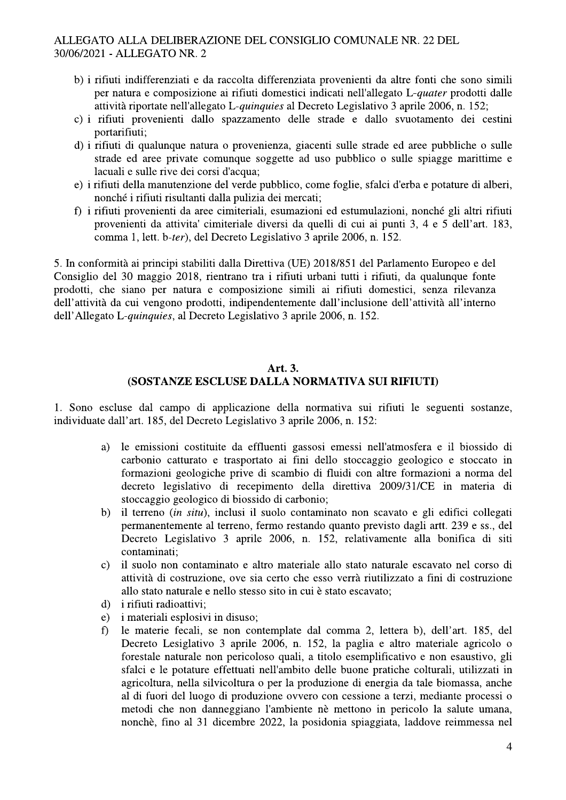- b) i rifiuti indifferenziati e da raccolta differenziata provenienti da altre fonti che sono simili per natura e composizione ai rifiuti domestici indicati nell'allegato L-quater prodotti dalle attività riportate nell'allegato L-quinquies al Decreto Legislativo 3 aprile 2006, n. 152;
- c) i rifiuti provenienti dallo spazzamento delle strade e dallo svuotamento dei cestini portarifiuti:
- d) i rifiuti di qualunque natura o provenienza, giacenti sulle strade ed aree pubbliche o sulle strade ed aree private comunque soggette ad uso pubblico o sulle spiagge marittime e lacuali e sulle rive dei corsi d'acqua;
- e) i rifiuti della manutenzione del verde pubblico, come foglie, sfalci d'erba e potature di alberi, nonché i rifiuti risultanti dalla pulizia dei mercati;
- f) i rifiuti provenienti da aree cimiteriali, esumazioni ed estumulazioni, nonché gli altri rifiuti provenienti da attivita' cimiteriale diversi da quelli di cui ai punti 3, 4 e 5 dell'art. 183, comma 1, lett. b-ter), del Decreto Legislativo 3 aprile 2006, n. 152.

5. In conformità ai principi stabiliti dalla Direttiva (UE) 2018/851 del Parlamento Europeo e del Consiglio del 30 maggio 2018, rientrano tra i rifiuti urbani tutti i rifiuti, da qualunque fonte prodotti, che siano per natura e composizione simili ai rifiuti domestici, senza rilevanza dell'attività da cui vengono prodotti, indipendentemente dall'inclusione dell'attività all'interno dell'Allegato L-quinquies, al Decreto Legislativo 3 aprile 2006, n. 152.

## Art. 3. (SOSTANZE ESCLUSE DALLA NORMATIVA SUI RIFIUTI)

1. Sono escluse dal campo di applicazione della normativa sui rifiuti le seguenti sostanze, individuate dall'art. 185, del Decreto Legislativo 3 aprile 2006, n. 152:

- le emissioni costituite da effluenti gassosi emessi nell'atmosfera e il biossido di a) carbonio catturato e trasportato ai fini dello stoccaggio geologico e stoccato in formazioni geologiche prive di scambio di fluidi con altre formazioni a norma del decreto legislativo di recepimento della direttiva 2009/31/CE in materia di stoccaggio geologico di biossido di carbonio;
- il terreno (in situ), inclusi il suolo contaminato non scavato e gli edifici collegati  $b)$ permanentemente al terreno, fermo restando quanto previsto dagli artt. 239 e ss., del Decreto Legislativo 3 aprile 2006, n. 152, relativamente alla bonifica di siti contaminati;
- il suolo non contaminato e altro materiale allo stato naturale escavato nel corso di  $\mathbf{c}$ ) attività di costruzione, ove sia certo che esso verrà riutilizzato a fini di costruzione allo stato naturale e nello stesso sito in cui è stato escavato;
- *i* rifiuti radioattivi;  $\mathbf{d}$
- i materiali esplosivi in disuso;  $e)$
- le materie fecali, se non contemplate dal comma 2, lettera b), dell'art. 185, del  $f$ Decreto Lesiglativo 3 aprile 2006, n. 152, la paglia e altro materiale agricolo o forestale naturale non pericoloso quali, a titolo esemplificativo e non esaustivo, gli sfalci e le potature effettuati nell'ambito delle buone pratiche colturali, utilizzati in agricoltura, nella silvicoltura o per la produzione di energia da tale biomassa, anche al di fuori del luogo di produzione ovvero con cessione a terzi, mediante processi o metodi che non danneggiano l'ambiente nè mettono in pericolo la salute umana, nonchè, fino al 31 dicembre 2022, la posidonia spiaggiata, laddove reimmessa nel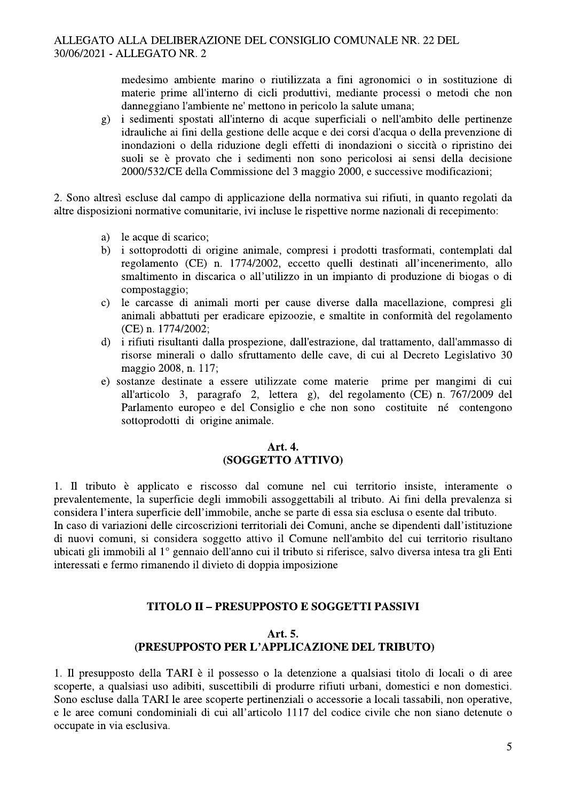medesimo ambiente marino o riutilizzata a fini agronomici o in sostituzione di materie prime all'interno di cicli produttivi, mediante processi o metodi che non danneggiano l'ambiente ne' mettono in pericolo la salute umana;

i sedimenti spostati all'interno di acque superficiali o nell'ambito delle pertinenze  $g)$ idrauliche ai fini della gestione delle acque e dei corsi d'acqua o della prevenzione di inondazioni o della riduzione degli effetti di inondazioni o siccità o ripristino dei suoli se è provato che i sedimenti non sono pericolosi ai sensi della decisione 2000/532/CE della Commissione del 3 maggio 2000, e successive modificazioni;

2. Sono altresì escluse dal campo di applicazione della normativa sui rifiuti, in quanto regolati da altre disposizioni normative comunitarie, ivi incluse le rispettive norme nazionali di recepimento:

- le acque di scarico; a)
- $b)$ i sottoprodotti di origine animale, compresi i prodotti trasformati, contemplati dal regolamento (CE) n. 1774/2002, eccetto quelli destinati all'incenerimento, allo smaltimento in discarica o all'utilizzo in un impianto di produzione di biogas o di compostaggio:
- le carcasse di animali morti per cause diverse dalla macellazione, compresi gli  $\mathbf{c}$ ) animali abbattuti per eradicare epizoozie, e smaltite in conformità del regolamento (CE) n. 1774/2002;
- i rifiuti risultanti dalla prospezione, dall'estrazione, dal trattamento, dall'ammasso di  $\mathbf{d}$ risorse minerali o dallo sfruttamento delle cave, di cui al Decreto Legislativo 30 maggio 2008, n. 117;
- e) sostanze destinate a essere utilizzate come materie prime per mangimi di cui all'articolo 3, paragrafo 2, lettera g), del regolamento (CE) n. 767/2009 del Parlamento europeo e del Consiglio e che non sono costituite né contengono sottoprodotti di origine animale.

#### Art. 4. (SOGGETTO ATTIVO)

1. Il tributo è applicato e riscosso dal comune nel cui territorio insiste, interamente o prevalentemente, la superficie degli immobili assoggettabili al tributo. Ai fini della prevalenza si considera l'intera superficie dell'immobile, anche se parte di essa sia esclusa o esente dal tributo.

In caso di variazioni delle circoscrizioni territoriali dei Comuni, anche se dipendenti dall'istituzione di nuovi comuni, si considera soggetto attivo il Comune nell'ambito del cui territorio risultano ubicati gli immobili al 1<sup>°</sup> gennaio dell'anno cui il tributo si riferisce, salvo diversa intesa tra gli Enti interessati e fermo rimanendo il divieto di doppia imposizione

# **TITOLO II - PRESUPPOSTO E SOGGETTI PASSIVI**

# Art. 5. (PRESUPPOSTO PER L'APPLICAZIONE DEL TRIBUTO)

1. Il presupposto della TARI è il possesso o la detenzione a qualsiasi titolo di locali o di aree scoperte, a qualsiasi uso adibiti, suscettibili di produrre rifiuti urbani, domestici e non domestici. Sono escluse dalla TARI le aree scoperte pertinenziali o accessorie a locali tassabili, non operative, e le aree comuni condominiali di cui all'articolo 1117 del codice civile che non siano detenute o occupate in via esclusiva.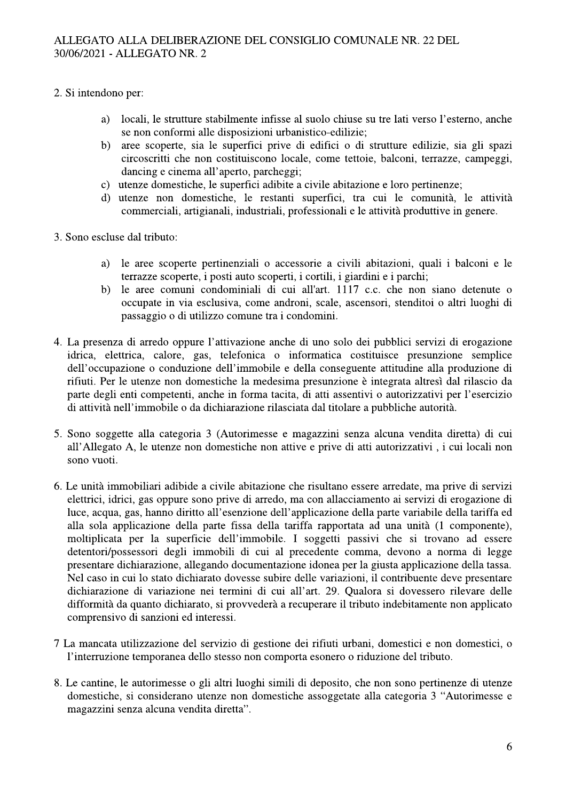- 2. Si intendono per:
	- locali, le strutture stabilmente infisse al suolo chiuse su tre lati verso l'esterno, anche a) se non conformi alle disposizioni urbanistico-edilizie;
	- aree scoperte, sia le superfici prive di edifici o di strutture edilizie, sia gli spazi  $b)$ circoscritti che non costituiscono locale, come tettoie, balconi, terrazze, campeggi, dancing e cinema all'aperto, parcheggi;
	- c) utenze domestiche, le superfici adibite a civile abitazione e loro pertinenze;
	- d) utenze non domestiche, le restanti superfici, tra cui le comunità, le attività commerciali, artigianali, industriali, professionali e le attività produttive in genere.
- 3. Sono escluse dal tributo:
	- le aree scoperte pertinenziali o accessorie a civili abitazioni, quali i balconi e le a) terrazze scoperte, i posti auto scoperti, i cortili, i giardini e i parchi;
	- $b)$ le aree comuni condominiali di cui all'art. 1117 c.c. che non siano detenute o occupate in via esclusiva, come androni, scale, ascensori, stenditoi o altri luoghi di passaggio o di utilizzo comune tra i condomini.
- 4. La presenza di arredo oppure l'attivazione anche di uno solo dei pubblici servizi di erogazione idrica, elettrica, calore, gas, telefonica o informatica costituisce presunzione semplice dell'occupazione o conduzione dell'immobile e della conseguente attitudine alla produzione di rifiuti. Per le utenze non domestiche la medesima presunzione è integrata altresì dal rilascio da parte degli enti competenti, anche in forma tacita, di atti assentivi o autorizzativi per l'esercizio di attività nell'immobile o da dichiarazione rilasciata dal titolare a pubbliche autorità.
- 5. Sono soggette alla categoria 3 (Autorimesse e magazzini senza alcuna vendita diretta) di cui all'Allegato A, le utenze non domestiche non attive e prive di atti autorizzativi, i cui locali non sono vuoti.
- 6. Le unità immobiliari adibide a civile abitazione che risultano essere arredate, ma prive di servizi elettrici, idrici, gas oppure sono prive di arredo, ma con allacciamento ai servizi di erogazione di luce, acqua, gas, hanno diritto all'esenzione dell'applicazione della parte variabile della tariffa ed alla sola applicazione della parte fissa della tariffa rapportata ad una unità (1 componente), moltiplicata per la superficie dell'immobile. I soggetti passivi che si trovano ad essere detentori/possessori degli immobili di cui al precedente comma, devono a norma di legge presentare dichiarazione, allegando documentazione idonea per la giusta applicazione della tassa. Nel caso in cui lo stato dichiarato dovesse subire delle variazioni, il contribuente deve presentare dichiarazione di variazione nei termini di cui all'art. 29. Qualora si dovessero rilevare delle difformità da quanto dichiarato, si provvederà a recuperare il tributo indebitamente non applicato comprensivo di sanzioni ed interessi.
- 7 La mancata utilizzazione del servizio di gestione dei rifiuti urbani, domestici e non domestici, o l'interruzione temporanea dello stesso non comporta esonero o riduzione del tributo.
- 8. Le cantine, le autorimesse o gli altri luoghi simili di deposito, che non sono pertinenze di utenze domestiche, si considerano utenze non domestiche assoggetate alla categoria 3 "Autorimesse e magazzini senza alcuna vendita diretta".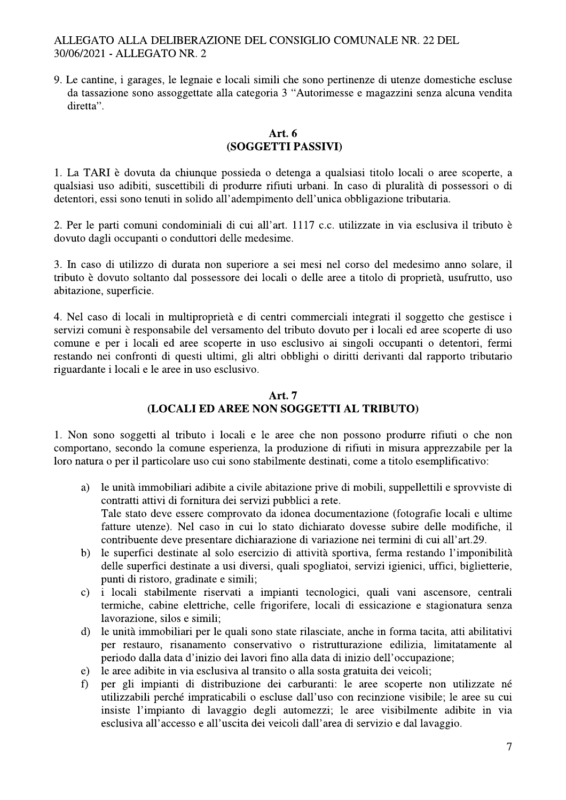9. Le cantine, i garages, le legnaie e locali simili che sono pertinenze di utenze domestiche escluse da tassazione sono assoggettate alla categoria 3 "Autorimesse e magazzini senza alcuna vendita diretta".

# Art.  $6$ (SOGGETTI PASSIVI)

1. La TARI è dovuta da chiunque possieda o detenga a qualsiasi titolo locali o aree scoperte, a qualsiasi uso adibiti, suscettibili di produrre rifiuti urbani. In caso di pluralità di possessori o di detentori, essi sono tenuti in solido all'adempimento dell'unica obbligazione tributaria.

2. Per le parti comuni condominiali di cui all'art. 1117 c.c. utilizzate in via esclusiva il tributo è dovuto dagli occupanti o conduttori delle medesime.

3. In caso di utilizzo di durata non superiore a sei mesi nel corso del medesimo anno solare, il tributo è dovuto soltanto dal possessore dei locali o delle aree a titolo di proprietà, usufrutto, uso abitazione, superficie.

4. Nel caso di locali in multiproprietà e di centri commerciali integrati il soggetto che gestisce i servizi comuni è responsabile del versamento del tributo dovuto per i locali ed aree scoperte di uso comune e per i locali ed aree scoperte in uso esclusivo ai singoli occupanti o detentori, fermi restando nei confronti di questi ultimi, gli altri obblighi o diritti derivanti dal rapporto tributario riguardante i locali e le aree in uso esclusivo.

# **Art. 7** (LOCALI ED AREE NON SOGGETTI AL TRIBUTO)

1. Non sono soggetti al tributo i locali e le aree che non possono produrre rifiuti o che non comportano, secondo la comune esperienza, la produzione di rifiuti in misura apprezzabile per la loro natura o per il particolare uso cui sono stabilmente destinati, come a titolo esemplificativo:

- le unità immobiliari adibite a civile abitazione prive di mobili, suppellettili e sprovviste di a) contratti attivi di fornitura dei servizi pubblici a rete. Tale stato deve essere comprovato da idonea documentazione (fotografie locali e ultime fatture utenze). Nel caso in cui lo stato dichiarato dovesse subire delle modifiche, il contribuente deve presentare dichiarazione di variazione nei termini di cui all'art.29.
- le superfici destinate al solo esercizio di attività sportiva, ferma restando l'imponibilità  $b)$ delle superfici destinate a usi diversi, quali spogliatoi, servizi igienici, uffici, biglietterie, punti di ristoro, gradinate e simili;
- i locali stabilmente riservati a impianti tecnologici, quali vani ascensore, centrali  $\mathbf{c}$ ) termiche, cabine elettriche, celle frigorifere, locali di essicazione e stagionatura senza lavorazione, silos e simili;
- le unità immobiliari per le quali sono state rilasciate, anche in forma tacita, atti abilitativi  $\overline{d}$ per restauro, risanamento conservativo o ristrutturazione edilizia, limitatamente al periodo dalla data d'inizio dei lavori fino alla data di inizio dell'occupazione;
- le aree adibite in via esclusiva al transito o alla sosta gratuita dei veicoli;  $e)$
- per gli impianti di distribuzione dei carburanti: le aree scoperte non utilizzate né  $\mathbf{f}$ utilizzabili perché impraticabili o escluse dall'uso con recinzione visibile; le aree su cui insiste l'impianto di lavaggio degli automezzi; le aree visibilmente adibite in via esclusiva all'accesso e all'uscita dei veicoli dall'area di servizio e dal lavaggio.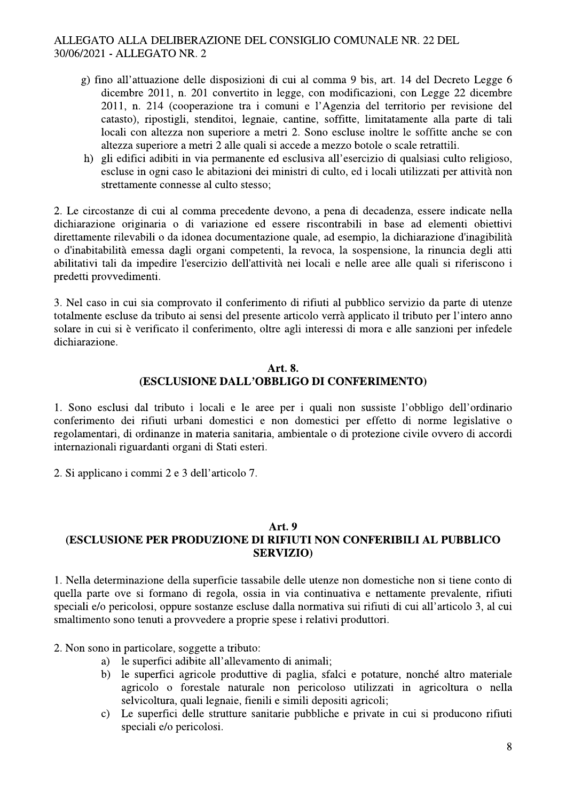- g) fino all'attuazione delle disposizioni di cui al comma 9 bis, art. 14 del Decreto Legge 6 dicembre 2011, n. 201 convertito in legge, con modificazioni, con Legge 22 dicembre 2011, n. 214 (cooperazione tra i comuni e l'Agenzia del territorio per revisione del catasto), ripostigli, stenditoi, legnaie, cantine, soffitte, limitatamente alla parte di tali locali con altezza non superiore a metri 2. Sono escluse inoltre le soffitte anche se con altezza superiore a metri 2 alle quali si accede a mezzo botole o scale retrattili.
- h) gli edifici adibiti in via permanente ed esclusiva all'esercizio di qualsiasi culto religioso, escluse in ogni caso le abitazioni dei ministri di culto, ed i locali utilizzati per attività non strettamente connesse al culto stesso:

2. Le circostanze di cui al comma precedente devono, a pena di decadenza, essere indicate nella dichiarazione originaria o di variazione ed essere riscontrabili in base ad elementi obiettivi direttamente rilevabili o da idonea documentazione quale, ad esempio, la dichiarazione d'inagibilità o d'inabitabilità emessa dagli organi competenti, la revoca, la sospensione, la rinuncia degli atti abilitativi tali da impedire l'esercizio dell'attività nei locali e nelle aree alle quali si riferiscono i predetti provvedimenti.

3. Nel caso in cui sia comprovato il conferimento di rifiuti al pubblico servizio da parte di utenze totalmente escluse da tributo ai sensi del presente articolo verrà applicato il tributo per l'intero anno solare in cui si è verificato il conferimento, oltre agli interessi di mora e alle sanzioni per infedele dichiarazione.

#### Art. 8. **(ESCLUSIONE DALL'OBBLIGO DI CONFERIMENTO)**

1. Sono esclusi dal tributo i locali e le aree per i quali non sussiste l'obbligo dell'ordinario conferimento dei rifiuti urbani domestici e non domestici per effetto di norme legislative o regolamentari, di ordinanze in materia sanitaria, ambientale o di protezione civile ovvero di accordi internazionali riguardanti organi di Stati esteri.

2. Si applicano i commi 2 e 3 dell'articolo 7.

#### **Art. 9**

# (ESCLUSIONE PER PRODUZIONE DI RIFIUTI NON CONFERIBILI AL PUBBLICO **SERVIZIO)**

1. Nella determinazione della superficie tassabile delle utenze non domestiche non si tiene conto di quella parte ove si formano di regola, ossia in via continuativa e nettamente prevalente, rifiuti speciali e/o pericolosi, oppure sostanze escluse dalla normativa sui rifiuti di cui all'articolo 3, al cui smaltimento sono tenuti a provvedere a proprie spese i relativi produttori.

2. Non sono in particolare, soggette a tributo:

- le superfici adibite all'allevamento di animali;  $a)$
- $b)$ le superfici agricole produttive di paglia, sfalci e potature, nonché altro materiale agricolo o forestale naturale non pericoloso utilizzati in agricoltura o nella selvicoltura, quali legnaie, fienili e simili depositi agricoli;
- Le superfici delle strutture sanitarie pubbliche e private in cui si producono rifiuti  $\mathbf{c}$ speciali e/o pericolosi.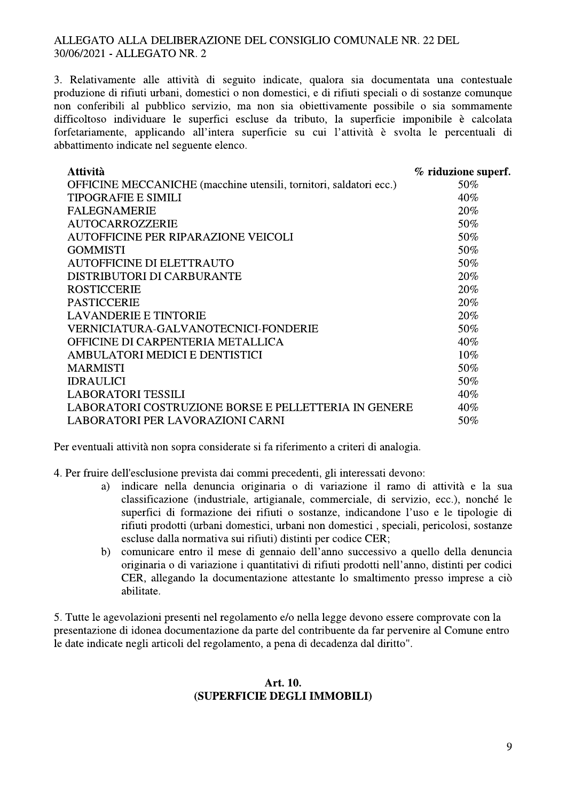3. Relativamente alle attività di seguito indicate, qualora sia documentata una contestuale produzione di rifiuti urbani, domestici o non domestici, e di rifiuti speciali o di sostanze comunque non conferibili al pubblico servizio, ma non sia obiettivamente possibile o sia sommamente difficoltoso individuare le superfici escluse da tributo, la superficie imponibile è calcolata forfetariamente, applicando all'intera superficie su cui l'attività è svolta le percentuali di abbattimento indicate nel seguente elenco.

| <b>Attività</b>                                                    | % riduzione superf. |
|--------------------------------------------------------------------|---------------------|
| OFFICINE MECCANICHE (macchine utensili, tornitori, saldatori ecc.) | 50%                 |
| <b>TIPOGRAFIE E SIMILI</b>                                         | 40%                 |
| <b>FALEGNAMERIE</b>                                                | 20%                 |
| <b>AUTOCARROZZERIE</b>                                             | 50%                 |
| <b>AUTOFFICINE PER RIPARAZIONE VEICOLI</b>                         | 50%                 |
| <b>GOMMISTI</b>                                                    | 50%                 |
| <b>AUTOFFICINE DI ELETTRAUTO</b>                                   | 50%                 |
| DISTRIBUTORI DI CARBURANTE                                         | 20%                 |
| <b>ROSTICCERIE</b>                                                 | 20%                 |
| <b>PASTICCERIE</b>                                                 | 20%                 |
| <b>LAVANDERIE E TINTORIE</b>                                       | 20%                 |
| VERNICIATURA-GALVANOTECNICI-FONDERIE                               | 50%                 |
| OFFICINE DI CARPENTERIA METALLICA                                  | 40%                 |
| AMBULATORI MEDICI E DENTISTICI                                     | $10\%$              |
| <b>MARMISTI</b>                                                    | 50%                 |
| <b>IDRAULICI</b>                                                   | 50%                 |
| <b>LABORATORI TESSILI</b>                                          | 40%                 |
| LABORATORI COSTRUZIONE BORSE E PELLETTERIA IN GENERE               | 40%                 |
| <b>LABORATORI PER LAVORAZIONI CARNI</b>                            | 50%                 |

Per eventuali attività non sopra considerate si fa riferimento a criteri di analogia.

4. Per fruire dell'esclusione prevista dai commi precedenti, gli interessati devono:

- indicare nella denuncia originaria o di variazione il ramo di attività e la sua a) classificazione (industriale, artigianale, commerciale, di servizio, ecc.), nonché le superfici di formazione dei rifiuti o sostanze, indicandone l'uso e le tipologie di rifiuti prodotti (urbani domestici, urbani non domestici, speciali, pericolosi, sostanze escluse dalla normativa sui rifiuti) distinti per codice CER;
- comunicare entro il mese di gennaio dell'anno successivo a quello della denuncia  $b)$ originaria o di variazione i quantitativi di rifiuti prodotti nell'anno, distinti per codici CER, allegando la documentazione attestante lo smaltimento presso imprese a ciò abilitate.

5. Tutte le agevolazioni presenti nel regolamento e/o nella legge devono essere comprovate con la presentazione di idonea documentazione da parte del contribuente da far pervenire al Comune entro le date indicate negli articoli del regolamento, a pena di decadenza dal diritto".

#### Art. 10. (SUPERFICIE DEGLI IMMOBILI)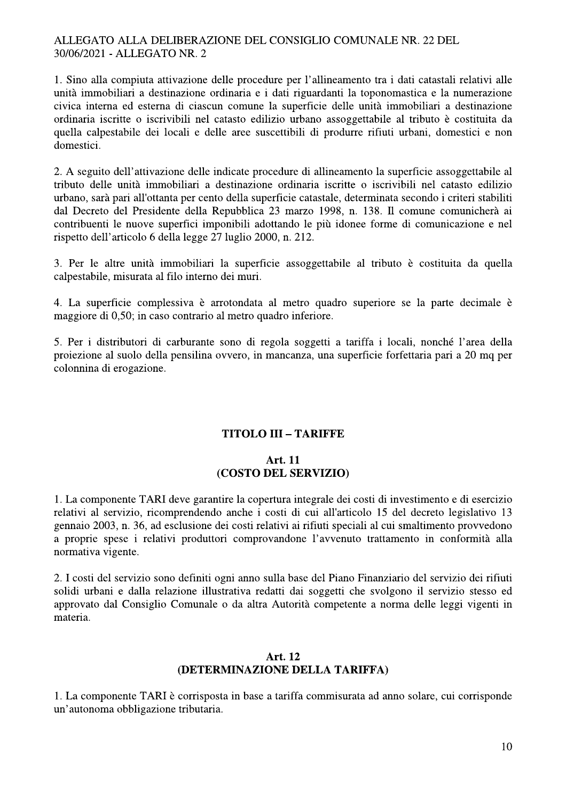1. Sino alla compiuta attivazione delle procedure per l'allineamento tra i dati catastali relativi alle unità immobiliari a destinazione ordinaria e i dati riguardanti la toponomastica e la numerazione civica interna ed esterna di ciascun comune la superficie delle unità immobiliari a destinazione ordinaria iscritte o iscrivibili nel catasto edilizio urbano assoggettabile al tributo è costituita da quella calpestabile dei locali e delle aree suscettibili di produrre rifiuti urbani, domestici e non domestici.

2. A seguito dell'attivazione delle indicate procedure di allineamento la superficie assoggettabile al tributo delle unità immobiliari a destinazione ordinaria iscritte o iscrivibili nel catasto edilizio urbano, sarà pari all'ottanta per cento della superficie catastale, determinata secondo i criteri stabiliti dal Decreto del Presidente della Repubblica 23 marzo 1998, n. 138. Il comune comunicherà ai contribuenti le nuove superfici imponibili adottando le più idonee forme di comunicazione e nel rispetto dell'articolo 6 della legge 27 luglio 2000, n. 212.

3. Per le altre unità immobiliari la superficie assoggettabile al tributo è costituita da quella calpestabile, misurata al filo interno dei muri.

4. La superficie complessiva è arrotondata al metro quadro superiore se la parte decimale è maggiore di 0,50; in caso contrario al metro quadro inferiore.

5. Per i distributori di carburante sono di regola soggetti a tariffa i locali, nonché l'area della proiezione al suolo della pensilina ovvero, in mancanza, una superficie forfettaria pari a 20 mq per colonnina di erogazione.

# **TITOLO III - TARIFFE**

#### **Art. 11** (COSTO DEL SERVIZIO)

1. La componente TARI deve garantire la copertura integrale dei costi di investimento e di esercizio relativi al servizio, ricomprendendo anche i costi di cui all'articolo 15 del decreto legislativo 13 gennaio 2003, n. 36, ad esclusione dei costi relativi ai rifiuti speciali al cui smaltimento provvedono a proprie spese i relativi produttori comprovandone l'avvenuto trattamento in conformità alla normativa vigente.

2. I costi del servizio sono definiti ogni anno sulla base del Piano Finanziario del servizio dei rifiuti solidi urbani e dalla relazione illustrativa redatti dai soggetti che svolgono il servizio stesso ed approvato dal Consiglio Comunale o da altra Autorità competente a norma delle leggi vigenti in materia.

#### Art. 12 (DETERMINAZIONE DELLA TARIFFA)

1. La componente TARI è corrisposta in base a tariffa commisurata ad anno solare, cui corrisponde un'autonoma obbligazione tributaria.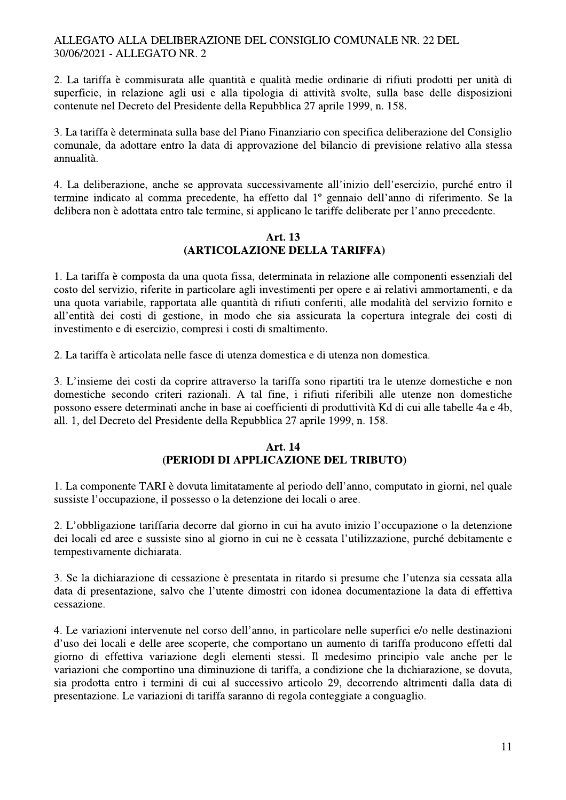2. La tariffa è commisurata alle quantità e qualità medie ordinarie di rifiuti prodotti per unità di superficie, in relazione agli usi e alla tipologia di attività svolte, sulla base delle disposizioni contenute nel Decreto del Presidente della Repubblica 27 aprile 1999, n. 158.

3. La tariffa è determinata sulla base del Piano Finanziario con specifica deliberazione del Consiglio comunale, da adottare entro la data di approvazione del bilancio di previsione relativo alla stessa annualità.

4. La deliberazione, anche se approvata successivamente all'inizio dell'esercizio, purché entro il termine indicato al comma precedente, ha effetto dal 1º gennaio dell'anno di riferimento. Se la delibera non è adottata entro tale termine, si applicano le tariffe deliberate per l'anno precedente.

#### Art. 13 (ARTICOLAZIONE DELLA TARIFFA)

1. La tariffa è composta da una quota fissa, determinata in relazione alle componenti essenziali del costo del servizio, riferite in particolare agli investimenti per opere e ai relativi ammortamenti, e da una quota variabile, rapportata alle quantità di rifiuti conferiti, alle modalità del servizio fornito e all'entità dei costi di gestione, in modo che sia assicurata la copertura integrale dei costi di investimento e di esercizio, compresi i costi di smaltimento.

2. La tariffa è articolata nelle fasce di utenza domestica e di utenza non domestica.

3. L'insieme dei costi da coprire attraverso la tariffa sono ripartiti tra le utenze domestiche e non domestiche secondo criteri razionali. A tal fine, i rifiuti riferibili alle utenze non domestiche possono essere determinati anche in base ai coefficienti di produttività Kd di cui alle tabelle 4a e 4b, all. 1, del Decreto del Presidente della Repubblica 27 aprile 1999, n. 158.

#### **Art. 14** (PERIODI DI APPLICAZIONE DEL TRIBUTO)

1. La componente TARI è dovuta limitatamente al periodo dell'anno, computato in giorni, nel quale sussiste l'occupazione, il possesso o la detenzione dei locali o aree.

2. L'obbligazione tariffaria decorre dal giorno in cui ha avuto inizio l'occupazione o la detenzione dei locali ed aree e sussiste sino al giorno in cui ne è cessata l'utilizzazione, purché debitamente e tempestivamente dichiarata.

3. Se la dichiarazione di cessazione è presentata in ritardo si presume che l'utenza sia cessata alla data di presentazione, salvo che l'utente dimostri con idonea documentazione la data di effettiva cessazione.

4. Le variazioni intervenute nel corso dell'anno, in particolare nelle superfici e/o nelle destinazioni d'uso dei locali e delle aree scoperte, che comportano un aumento di tariffa producono effetti dal giorno di effettiva variazione degli elementi stessi. Il medesimo principio vale anche per le variazioni che comportino una diminuzione di tariffa, a condizione che la dichiarazione, se dovuta, sia prodotta entro i termini di cui al successivo articolo 29, decorrendo altrimenti dalla data di presentazione. Le variazioni di tariffa saranno di regola conteggiate a conguaglio.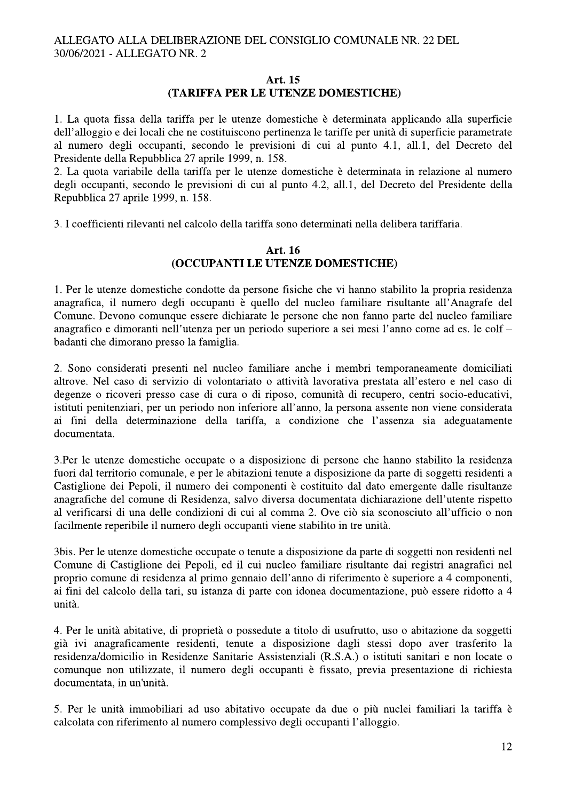#### Art. 15 (TARIFFA PER LE UTENZE DOMESTICHE)

1. La quota fissa della tariffa per le utenze domestiche è determinata applicando alla superficie dell'alloggio e dei locali che ne costituiscono pertinenza le tariffe per unità di superficie parametrate al numero degli occupanti, secondo le previsioni di cui al punto 4.1, all.1, del Decreto del Presidente della Repubblica 27 aprile 1999, n. 158.

2. La quota variabile della tariffa per le utenze domestiche è determinata in relazione al numero degli occupanti, secondo le previsioni di cui al punto 4.2, all.1, del Decreto del Presidente della Repubblica 27 aprile 1999, n. 158.

3. I coefficienti rilevanti nel calcolo della tariffa sono determinati nella delibera tariffaria.

#### Art. 16 (OCCUPANTI LE UTENZE DOMESTICHE)

1. Per le utenze domestiche condotte da persone fisiche che vi hanno stabilito la propria residenza anagrafica, il numero degli occupanti è quello del nucleo familiare risultante all'Anagrafe del Comune. Devono comunque essere dichiarate le persone che non fanno parte del nucleo familiare anagrafico e dimoranti nell'utenza per un periodo superiore a sei mesi l'anno come ad es. le colf – badanti che dimorano presso la famiglia.

2. Sono considerati presenti nel nucleo familiare anche i membri temporaneamente domiciliati altrove. Nel caso di servizio di volontariato o attività lavorativa prestata all'estero e nel caso di degenze o ricoveri presso case di cura o di riposo, comunità di recupero, centri socio-educativi, istituti penitenziari, per un periodo non inferiore all'anno, la persona assente non viene considerata ai fini della determinazione della tariffa, a condizione che l'assenza sia adeguatamente documentata.

3. Per le utenze domestiche occupate o a disposizione di persone che hanno stabilito la residenza fuori dal territorio comunale, e per le abitazioni tenute a disposizione da parte di soggetti residenti a Castiglione dei Pepoli, il numero dei componenti è costituito dal dato emergente dalle risultanze anagrafiche del comune di Residenza, salvo diversa documentata dichiarazione dell'utente rispetto al verificarsi di una delle condizioni di cui al comma 2. Ove ciò sia sconosciuto all'ufficio o non facilmente reperibile il numero degli occupanti viene stabilito in tre unità.

3bis. Per le utenze domestiche occupate o tenute a disposizione da parte di soggetti non residenti nel Comune di Castiglione dei Pepoli, ed il cui nucleo familiare risultante dai registri anagrafici nel proprio comune di residenza al primo gennaio dell'anno di riferimento è superiore a 4 componenti, ai fini del calcolo della tari, su istanza di parte con idonea documentazione, può essere ridotto a 4 unità.

4. Per le unità abitative, di proprietà o possedute a titolo di usufrutto, uso o abitazione da soggetti già ivi anagraficamente residenti, tenute a disposizione dagli stessi dopo aver trasferito la residenza/domicilio in Residenze Sanitarie Assistenziali (R.S.A.) o istituti sanitari e non locate o comunque non utilizzate, il numero degli occupanti è fissato, previa presentazione di richiesta documentata, in un'unità.

5. Per le unità immobiliari ad uso abitativo occupate da due o più nuclei familiari la tariffa è calcolata con riferimento al numero complessivo degli occupanti l'alloggio.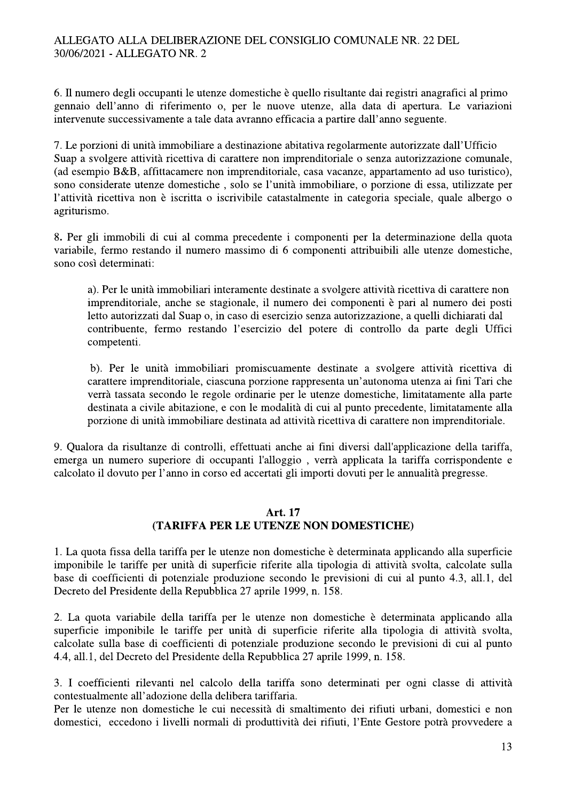6. Il numero degli occupanti le utenze domestiche è quello risultante dai registri anagrafici al primo gennaio dell'anno di riferimento o, per le nuove utenze, alla data di apertura. Le variazioni intervenute successivamente a tale data avranno efficacia a partire dall'anno seguente.

7. Le porzioni di unità immobiliare a destinazione abitativa regolarmente autorizzate dall'Ufficio Suap a svolgere attività ricettiva di carattere non imprenditoriale o senza autorizzazione comunale, (ad esempio B&B, affittacamere non imprenditoriale, casa vacanze, appartamento ad uso turistico), sono considerate utenze domestiche, solo se l'unità immobiliare, o porzione di essa, utilizzate per l'attività ricettiva non è iscritta o iscrivibile catastalmente in categoria speciale, quale albergo o agriturismo.

8. Per gli immobili di cui al comma precedente i componenti per la determinazione della quota variabile, fermo restando il numero massimo di 6 componenti attribuibili alle utenze domestiche, sono così determinati:

a). Per le unità immobiliari interamente destinate a svolgere attività ricettiva di carattere non imprenditoriale, anche se stagionale, il numero dei componenti è pari al numero dei posti letto autorizzati dal Suap o, in caso di esercizio senza autorizzazione, a quelli dichiarati dal contribuente, fermo restando l'esercizio del potere di controllo da parte degli Uffici competenti.

b). Per le unità immobiliari promiscuamente destinate a svolgere attività ricettiva di carattere imprenditoriale, ciascuna porzione rappresenta un'autonoma utenza ai fini Tari che verrà tassata secondo le regole ordinarie per le utenze domestiche, limitatamente alla parte destinata a civile abitazione, e con le modalità di cui al punto precedente, limitatamente alla porzione di unità immobiliare destinata ad attività ricettiva di carattere non imprenditoriale.

9. Qualora da risultanze di controlli, effettuati anche ai fini diversi dall'applicazione della tariffa, emerga un numero superiore di occupanti l'alloggio, verrà applicata la tariffa corrispondente e calcolato il dovuto per l'anno in corso ed accertati gli importi dovuti per le annualità pregresse.

#### **Art. 17**

# (TARIFFA PER LE UTENZE NON DOMESTICHE)

1. La quota fissa della tariffa per le utenze non domestiche è determinata applicando alla superficie imponibile le tariffe per unità di superficie riferite alla tipologia di attività svolta, calcolate sulla base di coefficienti di potenziale produzione secondo le previsioni di cui al punto 4.3, all.1, del Decreto del Presidente della Repubblica 27 aprile 1999, n. 158.

2. La quota variabile della tariffa per le utenze non domestiche è determinata applicando alla superficie imponibile le tariffe per unità di superficie riferite alla tipologia di attività svolta, calcolate sulla base di coefficienti di potenziale produzione secondo le previsioni di cui al punto 4.4, all.1, del Decreto del Presidente della Repubblica 27 aprile 1999, n. 158.

3. I coefficienti rilevanti nel calcolo della tariffa sono determinati per ogni classe di attività contestualmente all'adozione della delibera tariffaria.

Per le utenze non domestiche le cui necessità di smaltimento dei rifiuti urbani, domestici e non domestici, eccedono i livelli normali di produttività dei rifiuti, l'Ente Gestore potrà provvedere a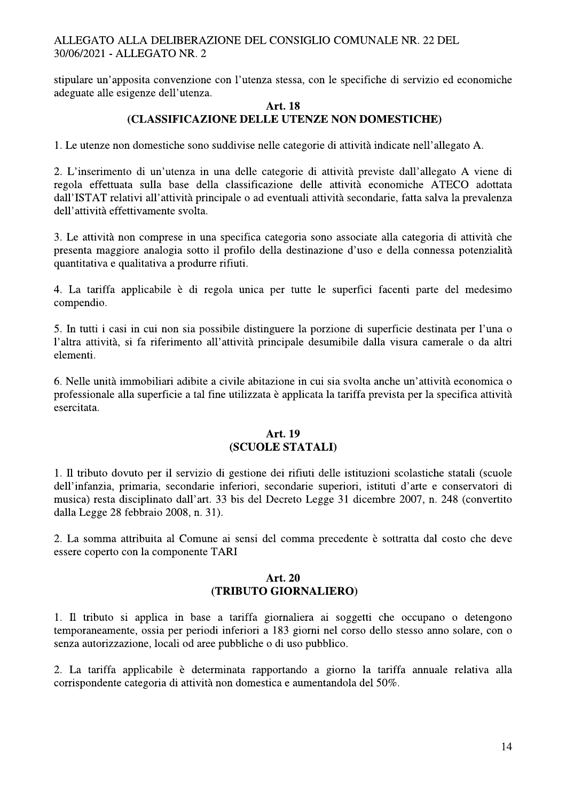stipulare un'apposita convenzione con l'utenza stessa, con le specifiche di servizio ed economiche adeguate alle esigenze dell'utenza.

#### **Art. 18** (CLASSIFICAZIONE DELLE UTENZE NON DOMESTICHE)

1. Le utenze non domestiche sono suddivise nelle categorie di attività indicate nell'allegato A.

2. L'inserimento di un'utenza in una delle categorie di attività previste dall'allegato A viene di regola effettuata sulla base della classificazione delle attività economiche ATECO adottata dall'ISTAT relativi all'attività principale o ad eventuali attività secondarie, fatta salva la prevalenza dell'attività effettivamente svolta.

3. Le attività non comprese in una specifica categoria sono associate alla categoria di attività che presenta maggiore analogia sotto il profilo della destinazione d'uso e della connessa potenzialità quantitativa e qualitativa a produrre rifiuti.

4. La tariffa applicabile è di regola unica per tutte le superfici facenti parte del medesimo compendio.

5. In tutti i casi in cui non sia possibile distinguere la porzione di superficie destinata per l'una o l'altra attività, si fa riferimento all'attività principale desumibile dalla visura camerale o da altri elementi.

6. Nelle unità immobiliari adibite a civile abitazione in cui sia svolta anche un'attività economica o professionale alla superficie a tal fine utilizzata è applicata la tariffa prevista per la specifica attività esercitata.

# **Art. 19** (SCUOLE STATALI)

1. Il tributo dovuto per il servizio di gestione dei rifiuti delle istituzioni scolastiche statali (scuole dell'infanzia, primaria, secondarie inferiori, secondarie superiori, istituti d'arte e conservatori di musica) resta disciplinato dall'art. 33 bis del Decreto Legge 31 dicembre 2007, n. 248 (convertito dalla Legge 28 febbraio 2008, n. 31).

2. La somma attribuita al Comune ai sensi del comma precedente è sottratta dal costo che deve essere coperto con la componente TARI

# Art. 20 (TRIBUTO GIORNALIERO)

1. Il tributo si applica in base a tariffa giornaliera ai soggetti che occupano o detengono temporaneamente, ossia per periodi inferiori a 183 giorni nel corso dello stesso anno solare, con o senza autorizzazione, locali od aree pubbliche o di uso pubblico.

2. La tariffa applicabile è determinata rapportando a giorno la tariffa annuale relativa alla corrispondente categoria di attività non domestica e aumentandola del 50%.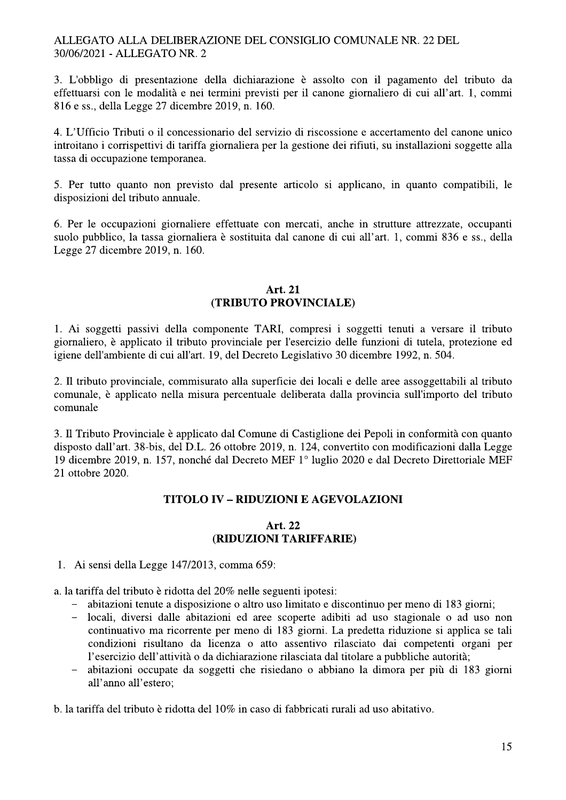3. L'obbligo di presentazione della dichiarazione è assolto con il pagamento del tributo da effettuarsi con le modalità e nei termini previsti per il canone giornaliero di cui all'art. 1, commi 816 e ss., della Legge 27 dicembre 2019, n. 160.

4. L'Ufficio Tributi o il concessionario del servizio di riscossione e accertamento del canone unico introitano i corrispettivi di tariffa giornaliera per la gestione dei rifiuti, su installazioni soggette alla tassa di occupazione temporanea.

5. Per tutto quanto non previsto dal presente articolo si applicano, in quanto compatibili, le disposizioni del tributo annuale.

6. Per le occupazioni giornaliere effettuate con mercati, anche in strutture attrezzate, occupanti suolo pubblico, la tassa giornaliera è sostituita dal canone di cui all'art. 1, commi 836 e ss., della Legge 27 dicembre 2019, n. 160.

#### Art. 21 (TRIBUTO PROVINCIALE)

1. Ai soggetti passivi della componente TARI, compresi i soggetti tenuti a versare il tributo giornaliero, è applicato il tributo provinciale per l'esercizio delle funzioni di tutela, protezione ed igiene dell'ambiente di cui all'art. 19, del Decreto Legislativo 30 dicembre 1992, n. 504.

2. Il tributo provinciale, commisurato alla superficie dei locali e delle aree assoggettabili al tributo comunale, è applicato nella misura percentuale deliberata dalla provincia sull'importo del tributo comunale

3. Il Tributo Provinciale è applicato dal Comune di Castiglione dei Pepoli in conformità con quanto disposto dall'art. 38-bis, del D.L. 26 ottobre 2019, n. 124, convertito con modificazioni dalla Legge 19 dicembre 2019, n. 157, nonché dal Decreto MEF 1° luglio 2020 e dal Decreto Direttoriale MEF 21 ottobre 2020.

# **TITOLO IV - RIDUZIONI E AGEVOLAZIONI**

#### Art. 22 (RIDUZIONI TARIFFARIE)

1. Ai sensi della Legge 147/2013, comma 659:

a. la tariffa del tributo è ridotta del 20% nelle seguenti ipotesi:

- abitazioni tenute a disposizione o altro uso limitato e discontinuo per meno di 183 giorni;
- locali, diversi dalle abitazioni ed aree scoperte adibiti ad uso stagionale o ad uso non continuativo ma ricorrente per meno di 183 giorni. La predetta riduzione si applica se tali condizioni risultano da licenza o atto assentivo rilasciato dai competenti organi per l'esercizio dell'attività o da dichiarazione rilasciata dal titolare a pubbliche autorità;
- abitazioni occupate da soggetti che risiedano o abbiano la dimora per più di 183 giorni all'anno all'estero:

b. la tariffa del tributo è ridotta del 10% in caso di fabbricati rurali ad uso abitativo.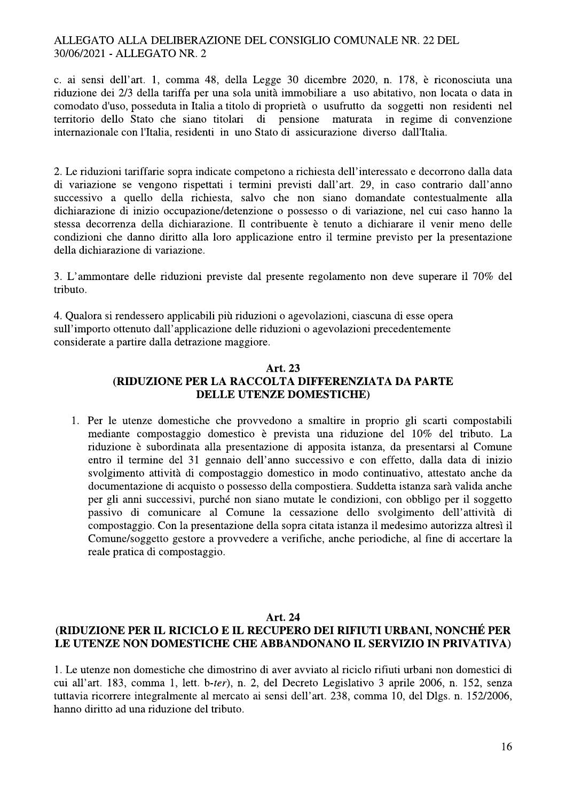c. ai sensi dell'art. 1, comma 48, della Legge 30 dicembre 2020, n. 178, è riconosciuta una riduzione dei 2/3 della tariffa per una sola unità immobiliare a uso abitativo, non locata o data in comodato d'uso, posseduta in Italia a titolo di proprietà o usufrutto da soggetti non residenti nel territorio dello Stato che siano titolari pensione maturata di in regime di convenzione internazionale con l'Italia, residenti in uno Stato di assicurazione diverso dall'Italia.

2. Le riduzioni tariffarie sopra indicate competono a richiesta dell'interessato e decorrono dalla data di variazione se vengono rispettati i termini previsti dall'art. 29, in caso contrario dall'anno successivo a quello della richiesta, salvo che non siano domandate contestualmente alla dichiarazione di inizio occupazione/detenzione o possesso o di variazione, nel cui caso hanno la stessa decorrenza della dichiarazione. Il contribuente è tenuto a dichiarare il venir meno delle condizioni che danno diritto alla loro applicazione entro il termine previsto per la presentazione della dichiarazione di variazione.

3. L'ammontare delle riduzioni previste dal presente regolamento non deve superare il 70% del tributo.

4. Qualora si rendessero applicabili più riduzioni o agevolazioni, ciascuna di esse opera sull'importo ottenuto dall'applicazione delle riduzioni o agevolazioni precedentemente considerate a partire dalla detrazione maggiore.

## Art. 23 **(RIDUZIONE PER LA RACCOLTA DIFFERENZIATA DA PARTE DELLE UTENZE DOMESTICHE**)

1. Per le utenze domestiche che provvedono a smaltire in proprio gli scarti compostabili mediante compostaggio domestico è prevista una riduzione del 10% del tributo. La riduzione è subordinata alla presentazione di apposita istanza, da presentarsi al Comune entro il termine del 31 gennaio dell'anno successivo e con effetto, dalla data di inizio svolgimento attività di compostaggio domestico in modo continuativo, attestato anche da documentazione di acquisto o possesso della compostiera. Suddetta istanza sarà valida anche per gli anni successivi, purché non siano mutate le condizioni, con obbligo per il soggetto passivo di comunicare al Comune la cessazione dello svolgimento dell'attività di compostaggio. Con la presentazione della sopra citata istanza il medesimo autorizza altresì il Comune/soggetto gestore a provvedere a verifiche, anche periodiche, al fine di accertare la reale pratica di compostaggio.

#### Art. 24

# **(RIDUZIONE PER IL RICICLO E IL RECUPERO DEI RIFIUTI URBANI, NONCHÉ PER** LE UTENZE NON DOMESTICHE CHE ABBANDONANO IL SERVIZIO IN PRIVATIVA)

1. Le utenze non domestiche che dimostrino di aver avviato al riciclo rifiuti urbani non domestici di cui all'art. 183, comma 1, lett. b-ter), n. 2, del Decreto Legislativo 3 aprile 2006, n. 152, senza tuttavia ricorrere integralmente al mercato ai sensi dell'art. 238, comma 10, del Dlgs. n. 152/2006, hanno diritto ad una riduzione del tributo.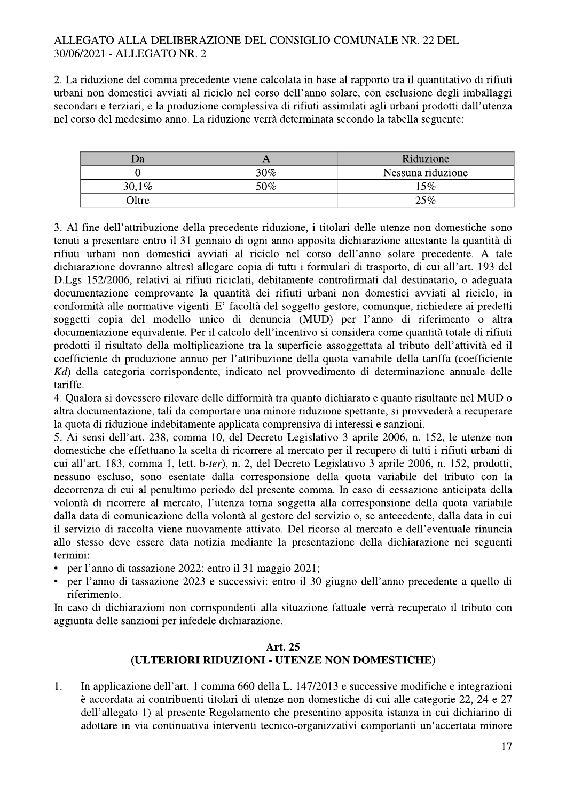2. La riduzione del comma precedente viene calcolata in base al rapporto tra il quantitativo di rifiuti urbani non domestici avviati al riciclo nel corso dell'anno solare, con esclusione degli imballaggi secondari e terziari, e la produzione complessiva di rifiuti assimilati agli urbani prodotti dall'utenza nel corso del medesimo anno. La riduzione verrà determinata secondo la tabella seguente:

| <b>Ja</b> | $\mathbf{I}$ | Riduzione         |
|-----------|--------------|-------------------|
|           | 30%          | Nessuna riduzione |
| 30,1%     | $50\%$       | 15%               |
| 71tre     |              | 25%               |

3. Al fine dell'attribuzione della precedente riduzione, i titolari delle utenze non domestiche sono tenuti a presentare entro il 31 gennaio di ogni anno apposita dichiarazione attestante la quantità di rifiuti urbani non domestici avviati al riciclo nel corso dell'anno solare precedente. A tale dichiarazione dovranno altresì allegare copia di tutti i formulari di trasporto, di cui all'art. 193 del D.Lgs 152/2006, relativi ai rifiuti riciclati, debitamente controfirmati dal destinatario, o adeguata documentazione comprovante la quantità dei rifiuti urbani non domestici avviati al riciclo, in conformità alle normative vigenti. E' facoltà del soggetto gestore, comunque, richiedere ai predetti soggetti copia del modello unico di denuncia (MUD) per l'anno di riferimento o altra documentazione equivalente. Per il calcolo dell'incentivo si considera come quantità totale di rifiuti prodotti il risultato della moltiplicazione tra la superficie assoggettata al tributo dell'attività ed il coefficiente di produzione annuo per l'attribuzione della quota variabile della tariffa (coefficiente Kd) della categoria corrispondente, indicato nel provvedimento di determinazione annuale delle tariffe.

4. Qualora si dovessero rilevare delle difformità tra quanto dichiarato e quanto risultante nel MUD o altra documentazione, tali da comportare una minore riduzione spettante, si provvederà a recuperare la quota di riduzione indebitamente applicata comprensiva di interessi e sanzioni.

5. Ai sensi dell'art. 238, comma 10, del Decreto Legislativo 3 aprile 2006, n. 152, le utenze non domestiche che effettuano la scelta di ricorrere al mercato per il recupero di tutti i rifiuti urbani di cui all'art. 183, comma 1, lett. b-ter), n. 2, del Decreto Legislativo 3 aprile 2006, n. 152, prodotti, nessuno escluso, sono esentate dalla corresponsione della quota variabile del tributo con la decorrenza di cui al penultimo periodo del presente comma. In caso di cessazione anticipata della volontà di ricorrere al mercato, l'utenza torna soggetta alla corresponsione della quota variabile dalla data di comunicazione della volontà al gestore del servizio o, se antecedente, dalla data in cui il servizio di raccolta viene nuovamente attivato. Del ricorso al mercato e dell'eventuale rinuncia allo stesso deve essere data notizia mediante la presentazione della dichiarazione nei seguenti termini:

- per l'anno di tassazione 2022: entro il 31 maggio 2021;
- per l'anno di tassazione 2023 e successivi: entro il 30 giugno dell'anno precedente a quello di riferimento.

In caso di dichiarazioni non corrispondenti alla situazione fattuale verrà recuperato il tributo con aggiunta delle sanzioni per infedele dichiarazione.

# Art. 25 (ULTERIORI RIDUZIONI - UTENZE NON DOMESTICHE)

 $\mathbf{1}$ . In applicazione dell'art. 1 comma 660 della L. 147/2013 e successive modifiche e integrazioni è accordata ai contribuenti titolari di utenze non domestiche di cui alle categorie 22, 24 e 27 dell'allegato 1) al presente Regolamento che presentino apposita istanza in cui dichiarino di adottare in via continuativa interventi tecnico-organizzativi comportanti un'accertata minore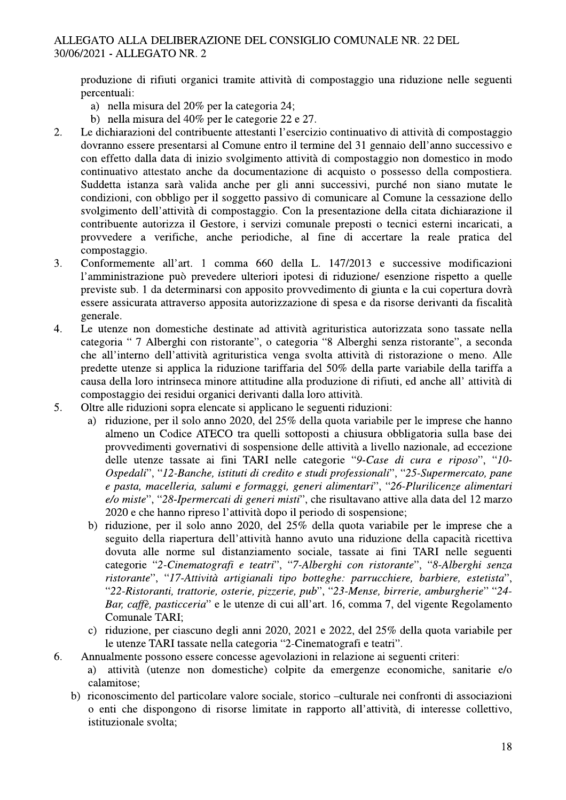produzione di rifiuti organici tramite attività di compostaggio una riduzione nelle seguenti percentuali:

- a) nella misura del 20% per la categoria 24;
- b) nella misura del 40% per le categorie 22 e 27.
- Le dichiarazioni del contribuente attestanti l'esercizio continuativo di attività di compostaggio  $\overline{2}$ . dovranno essere presentarsi al Comune entro il termine del 31 gennaio dell'anno successivo e con effetto dalla data di inizio svolgimento attività di compostaggio non domestico in modo continuativo attestato anche da documentazione di acquisto o possesso della compostiera. Suddetta istanza sarà valida anche per gli anni successivi, purché non siano mutate le condizioni, con obbligo per il soggetto passivo di comunicare al Comune la cessazione dello svolgimento dell'attività di compostaggio. Con la presentazione della citata dichiarazione il contribuente autorizza il Gestore, i servizi comunale preposti o tecnici esterni incaricati, a provvedere a verifiche, anche periodiche, al fine di accertare la reale pratica del compostaggio.
- Conformemente all'art. 1 comma 660 della L. 147/2013 e successive modificazioni 3. l'amministrazione può prevedere ulteriori ipotesi di riduzione/ esenzione rispetto a quelle previste sub. 1 da determinarsi con apposito provvedimento di giunta e la cui copertura dovrà essere assicurata attraverso apposita autorizzazione di spesa e da risorse derivanti da fiscalità generale.
- $\overline{4}$ . Le utenze non domestiche destinate ad attività agrituristica autorizzata sono tassate nella categoria " 7 Alberghi con ristorante", o categoria "8 Alberghi senza ristorante", a seconda che all'interno dell'attività agrituristica venga svolta attività di ristorazione o meno. Alle predette utenze si applica la riduzione tariffaria del 50% della parte variabile della tariffa a causa della loro intrinseca minore attitudine alla produzione di rifiuti, ed anche all'attività di compostaggio dei residui organici derivanti dalla loro attività.
- Oltre alle riduzioni sopra elencate si applicano le seguenti riduzioni: 5.
	- a) riduzione, per il solo anno 2020, del 25% della quota variabile per le imprese che hanno almeno un Codice ATECO tra quelli sottoposti a chiusura obbligatoria sulla base dei provvedimenti governativi di sospensione delle attività a livello nazionale, ad eccezione delle utenze tassate ai fini TARI nelle categorie "9-Case di cura e riposo", "10-Ospedali", "12-Banche, istituti di credito e studi professionali", "25-Supermercato, pane e pasta, macelleria, salumi e formaggi, generi alimentari", "26-Plurilicenze alimentari e/o miste", "28-Ipermercati di generi misti", che risultavano attive alla data del 12 marzo 2020 e che hanno ripreso l'attività dopo il periodo di sospensione;
	- b) riduzione, per il solo anno 2020, del 25% della quota variabile per le imprese che a seguito della riapertura dell'attività hanno avuto una riduzione della capacità ricettiva dovuta alle norme sul distanziamento sociale, tassate ai fini TARI nelle seguenti categorie "2-Cinematografi e teatri", "7-Alberghi con ristorante", "8-Alberghi senza ristorante", "17-Attività artigianali tipo botteghe: parrucchiere, barbiere, estetista", "22-Ristoranti, trattorie, osterie, pizzerie, pub", "23-Mense, birrerie, amburgherie" "24-Bar, caffè, pasticceria" e le utenze di cui all'art. 16, comma 7, del vigente Regolamento Comunale TARI;
	- c) riduzione, per ciascuno degli anni 2020, 2021 e 2022, del 25% della quota variabile per le utenze TARI tassate nella categoria "2-Cinematografi e teatri".
- Annualmente possono essere concesse agevolazioni in relazione ai seguenti criteri: 6.
	- a) attività (utenze non domestiche) colpite da emergenze economiche, sanitarie e/o calamitose:
	- b) riconoscimento del particolare valore sociale, storico –culturale nei confronti di associazioni o enti che dispongono di risorse limitate in rapporto all'attività, di interesse collettivo, istituzionale svolta;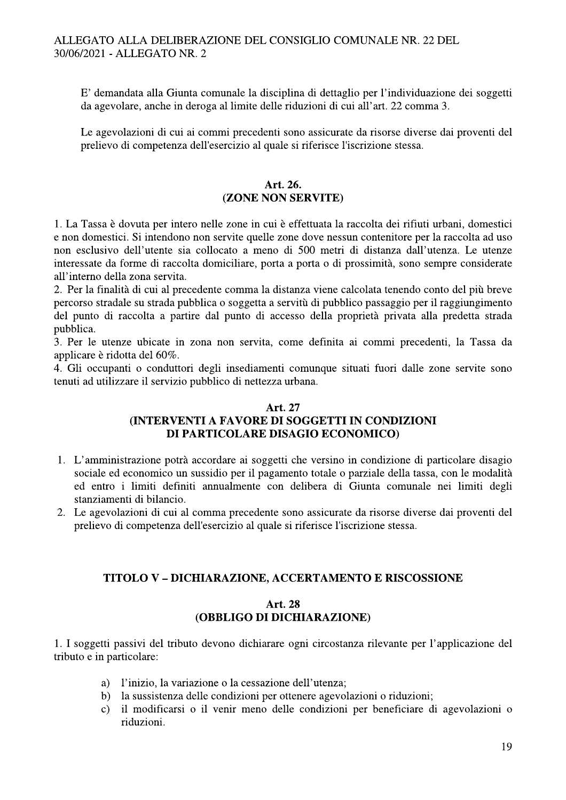E' demandata alla Giunta comunale la disciplina di dettaglio per l'individuazione dei soggetti da agevolare, anche in deroga al limite delle riduzioni di cui all'art. 22 comma 3.

Le agevolazioni di cui ai commi precedenti sono assicurate da risorse diverse dai proventi del prelievo di competenza dell'esercizio al quale si riferisce l'iscrizione stessa.

## Art. 26. (ZONE NON SERVITE)

1. La Tassa è dovuta per intero nelle zone in cui è effettuata la raccolta dei rifiuti urbani, domestici e non domestici. Si intendono non servite quelle zone dove nessun contenitore per la raccolta ad uso non esclusivo dell'utente sia collocato a meno di 500 metri di distanza dall'utenza. Le utenze interessate da forme di raccolta domiciliare, porta a porta o di prossimità, sono sempre considerate all'interno della zona servita.

2. Per la finalità di cui al precedente comma la distanza viene calcolata tenendo conto del più breve percorso stradale su strada pubblica o soggetta a servitù di pubblico passaggio per il raggiungimento del punto di raccolta a partire dal punto di accesso della proprietà privata alla predetta strada pubblica.

3. Per le utenze ubicate in zona non servita, come definita ai commi precedenti, la Tassa da applicare è ridotta del 60%.

4. Gli occupanti o conduttori degli insediamenti comunque situati fuori dalle zone servite sono tenuti ad utilizzare il servizio pubblico di nettezza urbana.

# Art. 27

# (INTERVENTI A FAVORE DI SOGGETTI IN CONDIZIONI DI PARTICOLARE DISAGIO ECONOMICO)

- 1. L'amministrazione potrà accordare ai soggetti che versino in condizione di particolare disagio sociale ed economico un sussidio per il pagamento totale o parziale della tassa, con le modalità ed entro i limiti definiti annualmente con delibera di Giunta comunale nei limiti degli stanziamenti di bilancio.
- 2. Le agevolazioni di cui al comma precedente sono assicurate da risorse diverse dai proventi del prelievo di competenza dell'esercizio al quale si riferisce l'iscrizione stessa.

# **TITOLO V-DICHIARAZIONE, ACCERTAMENTO E RISCOSSIONE**

# **Art. 28** (OBBLIGO DI DICHIARAZIONE)

1. I soggetti passivi del tributo devono dichiarare ogni circostanza rilevante per l'applicazione del tributo e in particolare:

- l'inizio, la variazione o la cessazione dell'utenza: a)
- la sussistenza delle condizioni per ottenere agevolazioni o riduzioni;  $b)$
- il modificarsi o il venir meno delle condizioni per beneficiare di agevolazioni o  $c)$ riduzioni.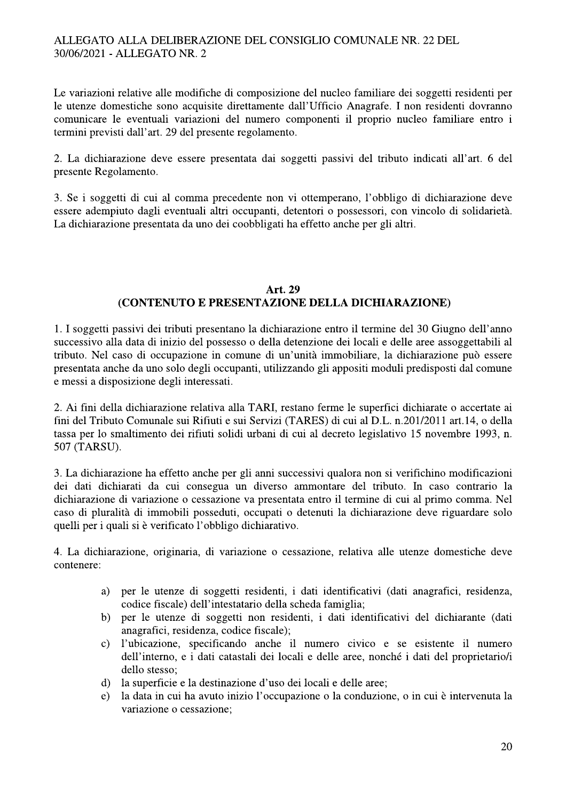Le variazioni relative alle modifiche di composizione del nucleo familiare dei soggetti residenti per le utenze domestiche sono acquisite direttamente dall'Ufficio Anagrafe. I non residenti dovranno comunicare le eventuali variazioni del numero componenti il proprio nucleo familiare entro i termini previsti dall'art. 29 del presente regolamento.

2. La dichiarazione deve essere presentata dai soggetti passivi del tributo indicati all'art. 6 del presente Regolamento.

3. Se i soggetti di cui al comma precedente non vi ottemperano, l'obbligo di dichiarazione deve essere adempiuto dagli eventuali altri occupanti, detentori o possessori, con vincolo di solidarietà. La dichiarazione presentata da uno dei coobbligati ha effetto anche per gli altri.

## Art. 29 (CONTENUTO E PRESENTAZIONE DELLA DICHIARAZIONE)

1. I soggetti passivi dei tributi presentano la dichiarazione entro il termine del 30 Giugno dell'anno successivo alla data di inizio del possesso o della detenzione dei locali e delle aree assoggettabili al tributo. Nel caso di occupazione in comune di un'unità immobiliare, la dichiarazione può essere presentata anche da uno solo degli occupanti, utilizzando gli appositi moduli predisposti dal comune e messi a disposizione degli interessati.

2. Ai fini della dichiarazione relativa alla TARI, restano ferme le superfici dichiarate o accertate ai fini del Tributo Comunale sui Rifiuti e sui Servizi (TARES) di cui al D.L. n.201/2011 art.14, o della tassa per lo smaltimento dei rifiuti solidi urbani di cui al decreto legislativo 15 novembre 1993, n. 507 (TARSU).

3. La dichiarazione ha effetto anche per gli anni successivi qualora non si verifichino modificazioni dei dati dichiarati da cui consegua un diverso ammontare del tributo. In caso contrario la dichiarazione di variazione o cessazione va presentata entro il termine di cui al primo comma. Nel caso di pluralità di immobili posseduti, occupati o detenuti la dichiarazione deve riguardare solo quelli per i quali si è verificato l'obbligo dichiarativo.

4. La dichiarazione, originaria, di variazione o cessazione, relativa alle utenze domestiche deve contenere:

- per le utenze di soggetti residenti, i dati identificativi (dati anagrafici, residenza, a) codice fiscale) dell'intestatario della scheda famiglia;
- per le utenze di soggetti non residenti, i dati identificativi del dichiarante (dati  $b)$ anagrafici, residenza, codice fiscale);
- l'ubicazione, specificando anche il numero civico e se esistente il numero  $\mathbf{c}$ ) dell'interno, e i dati catastali dei locali e delle aree, nonché i dati del proprietario/i dello stesso:
- la superficie e la destinazione d'uso dei locali e delle aree;  $\mathbf{d}$
- la data in cui ha avuto inizio l'occupazione o la conduzione, o in cui è intervenuta la  $e)$ variazione o cessazione: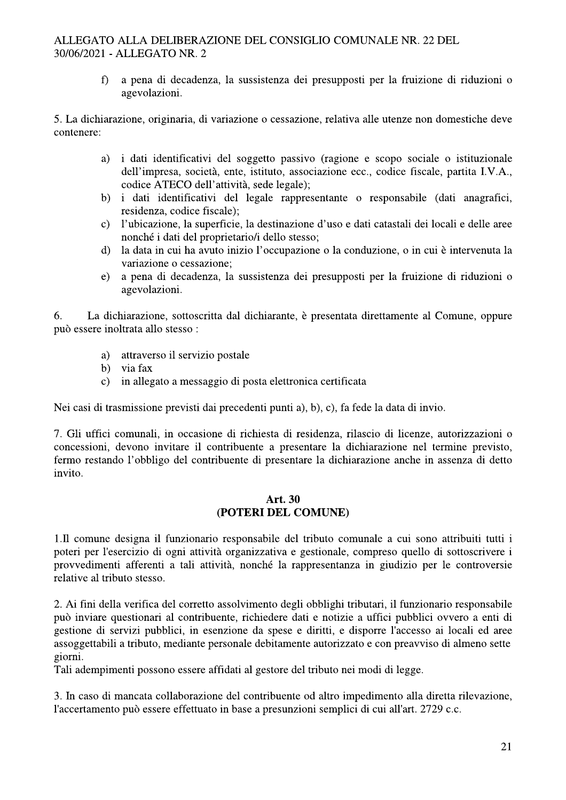$f$ a pena di decadenza, la sussistenza dei presupposti per la fruizione di riduzioni o agevolazioni.

5. La dichiarazione, originaria, di variazione o cessazione, relativa alle utenze non domestiche deve contenere:

- i dati identificativi del soggetto passivo (ragione e scopo sociale o istituzionale a) dell'impresa, società, ente, istituto, associazione ecc., codice fiscale, partita I.V.A., codice ATECO dell'attività, sede legale);
- b) i dati identificativi del legale rappresentante o responsabile (dati anagrafici, residenza, codice fiscale);
- l'ubicazione, la superficie, la destinazione d'uso e dati catastali dei locali e delle aree  $c)$ nonché i dati del proprietario/i dello stesso;
- $\mathbf{d}$ la data in cui ha avuto inizio l'occupazione o la conduzione, o in cui è intervenuta la variazione o cessazione;
- a pena di decadenza, la sussistenza dei presupposti per la fruizione di riduzioni o  $e)$ agevolazioni.

La dichiarazione, sottoscritta dal dichiarante, è presentata direttamente al Comune, oppure 6. può essere inoltrata allo stesso:

- a) attraverso il servizio postale
- b) via fax
- c) in allegato a messaggio di posta elettronica certificata

Nei casi di trasmissione previsti dai precedenti punti a), b), c), fa fede la data di invio.

7. Gli uffici comunali, in occasione di richiesta di residenza, rilascio di licenze, autorizzazioni o concessioni, devono invitare il contribuente a presentare la dichiarazione nel termine previsto, fermo restando l'obbligo del contribuente di presentare la dichiarazione anche in assenza di detto invito.

#### Art. 30 (POTERI DEL COMUNE)

1. Il comune designa il funzionario responsabile del tributo comunale a cui sono attribuiti tutti i poteri per l'esercizio di ogni attività organizzativa e gestionale, compreso quello di sottoscrivere i provvedimenti afferenti a tali attività, nonché la rappresentanza in giudizio per le controversie relative al tributo stesso.

2. Ai fini della verifica del corretto assolvimento degli obblighi tributari, il funzionario responsabile può inviare questionari al contribuente, richiedere dati e notizie a uffici pubblici ovvero a enti di gestione di servizi pubblici, in esenzione da spese e diritti, e disporre l'accesso ai locali ed aree assoggettabili a tributo, mediante personale debitamente autorizzato e con preavviso di almeno sette giorni.

Tali adempimenti possono essere affidati al gestore del tributo nei modi di legge.

3. In caso di mancata collaborazione del contribuente od altro impedimento alla diretta rilevazione, l'accertamento può essere effettuato in base a presunzioni semplici di cui all'art. 2729 c.c.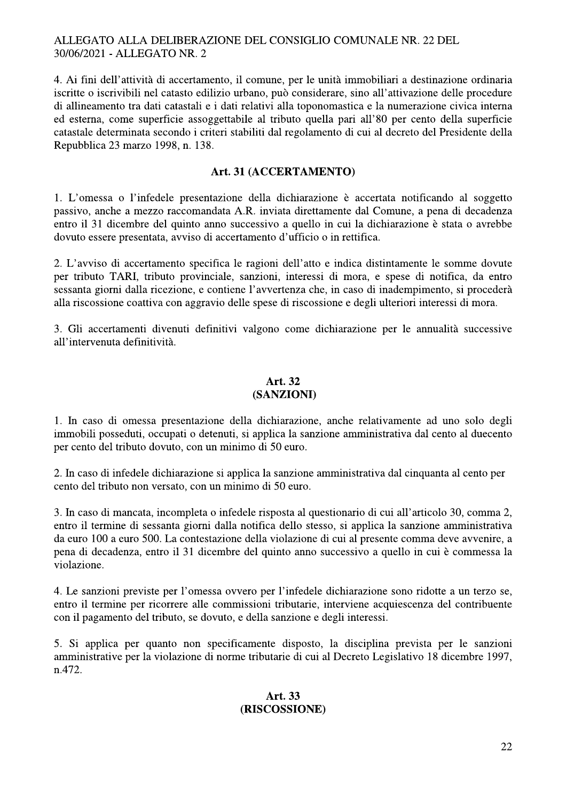4. Ai fini dell'attività di accertamento, il comune, per le unità immobiliari a destinazione ordinaria iscritte o iscrivibili nel catasto edilizio urbano, può considerare, sino all'attivazione delle procedure di allineamento tra dati catastali e i dati relativi alla toponomastica e la numerazione civica interna ed esterna, come superficie assoggettabile al tributo quella pari all'80 per cento della superficie catastale determinata secondo i criteri stabiliti dal regolamento di cui al decreto del Presidente della Repubblica 23 marzo 1998, n. 138.

#### Art. 31 (ACCERTAMENTO)

1. L'omessa o l'infedele presentazione della dichiarazione è accertata notificando al soggetto passivo, anche a mezzo raccomandata A.R. inviata direttamente dal Comune, a pena di decadenza entro il 31 dicembre del quinto anno successivo a quello in cui la dichiarazione è stata o avrebbe dovuto essere presentata, avviso di accertamento d'ufficio o in rettifica.

2. L'avviso di accertamento specifica le ragioni dell'atto e indica distintamente le somme dovute per tributo TARI, tributo provinciale, sanzioni, interessi di mora, e spese di notifica, da entro sessanta giorni dalla ricezione, e contiene l'avvertenza che, in caso di inadempimento, si procederà alla riscossione coattiva con aggravio delle spese di riscossione e degli ulteriori interessi di mora.

3. Gli accertamenti divenuti definitivi valgono come dichiarazione per le annualità successive all'intervenuta definitività.

#### Art. 32 (SANZIONI)

1. In caso di omessa presentazione della dichiarazione, anche relativamente ad uno solo degli immobili posseduti, occupati o detenuti, si applica la sanzione amministrativa dal cento al duecento per cento del tributo dovuto, con un minimo di 50 euro.

2. In caso di infedele dichiarazione si applica la sanzione amministrativa dal cinquanta al cento per cento del tributo non versato, con un minimo di 50 euro.

3. In caso di mancata, incompleta o infedele risposta al questionario di cui all'articolo 30, comma 2, entro il termine di sessanta giorni dalla notifica dello stesso, si applica la sanzione amministrativa da euro 100 a euro 500. La contestazione della violazione di cui al presente comma deve avvenire, a pena di decadenza, entro il 31 dicembre del quinto anno successivo a quello in cui è commessa la violazione.

4. Le sanzioni previste per l'omessa ovvero per l'infedele dichiarazione sono ridotte a un terzo se, entro il termine per ricorrere alle commissioni tributarie, interviene acquiescenza del contribuente con il pagamento del tributo, se dovuto, e della sanzione e degli interessi.

5. Si applica per quanto non specificamente disposto, la disciplina prevista per le sanzioni amministrative per la violazione di norme tributarie di cui al Decreto Legislativo 18 dicembre 1997, n.472.

#### Art. 33 (RISCOSSIONE)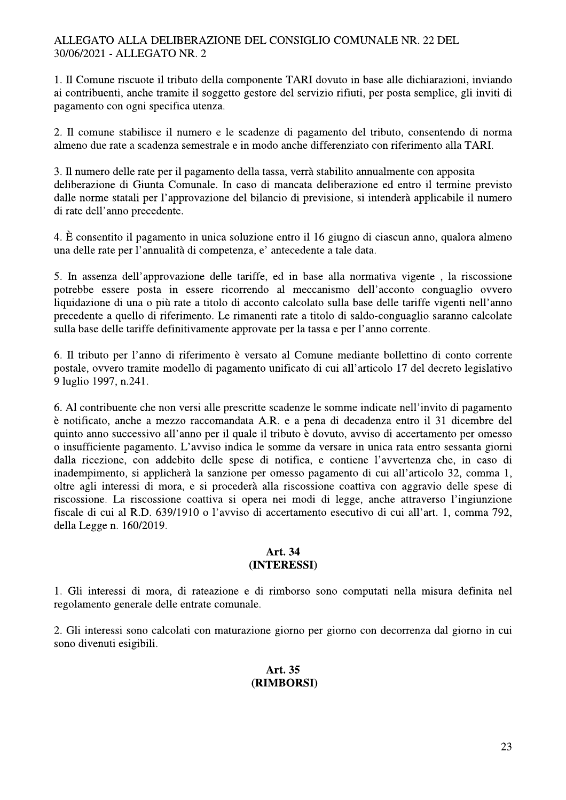1. Il Comune riscuote il tributo della componente TARI dovuto in base alle dichiarazioni, inviando ai contribuenti, anche tramite il soggetto gestore del servizio rifiuti, per posta semplice, gli inviti di pagamento con ogni specifica utenza.

2. Il comune stabilisce il numero e le scadenze di pagamento del tributo, consentendo di norma almeno due rate a scadenza semestrale e in modo anche differenziato con riferimento alla TARI.

3. Il numero delle rate per il pagamento della tassa, verrà stabilito annualmente con apposita deliberazione di Giunta Comunale. In caso di mancata deliberazione ed entro il termine previsto dalle norme statali per l'approvazione del bilancio di previsione, si intenderà applicabile il numero di rate dell'anno precedente.

4. È consentito il pagamento in unica soluzione entro il 16 giugno di ciascun anno, qualora almeno una delle rate per l'annualità di competenza, e' antecedente a tale data.

5. In assenza dell'approvazione delle tariffe, ed in base alla normativa vigente, la riscossione potrebbe essere posta in essere ricorrendo al meccanismo dell'acconto conguaglio ovvero liquidazione di una o più rate a titolo di acconto calcolato sulla base delle tariffe vigenti nell'anno precedente a quello di riferimento. Le rimanenti rate a titolo di saldo-conguaglio saranno calcolate sulla base delle tariffe definitivamente approvate per la tassa e per l'anno corrente.

6. Il tributo per l'anno di riferimento è versato al Comune mediante bollettino di conto corrente postale, ovvero tramite modello di pagamento unificato di cui all'articolo 17 del decreto legislativo 9 luglio 1997, n.241.

6. Al contribuente che non versi alle prescritte scadenze le somme indicate nell'invito di pagamento è notificato, anche a mezzo raccomandata A.R. e a pena di decadenza entro il 31 dicembre del quinto anno successivo all'anno per il quale il tributo è dovuto, avviso di accertamento per omesso o insufficiente pagamento. L'avviso indica le somme da versare in unica rata entro sessanta giorni dalla ricezione, con addebito delle spese di notifica, e contiene l'avvertenza che, in caso di inadempimento, si applicherà la sanzione per omesso pagamento di cui all'articolo 32, comma 1, oltre agli interessi di mora, e si procederà alla riscossione coattiva con aggravio delle spese di riscossione. La riscossione coattiva si opera nei modi di legge, anche attraverso l'ingiunzione fiscale di cui al R.D. 639/1910 o l'avviso di accertamento esecutivo di cui all'art. 1, comma 792, della Legge n. 160/2019.

#### Art. 34 (INTERESSI)

1. Gli interessi di mora, di rateazione e di rimborso sono computati nella misura definita nel regolamento generale delle entrate comunale.

2. Gli interessi sono calcolati con maturazione giorno per giorno con decorrenza dal giorno in cui sono divenuti esigibili.

#### Art. 35 (RIMBORSI)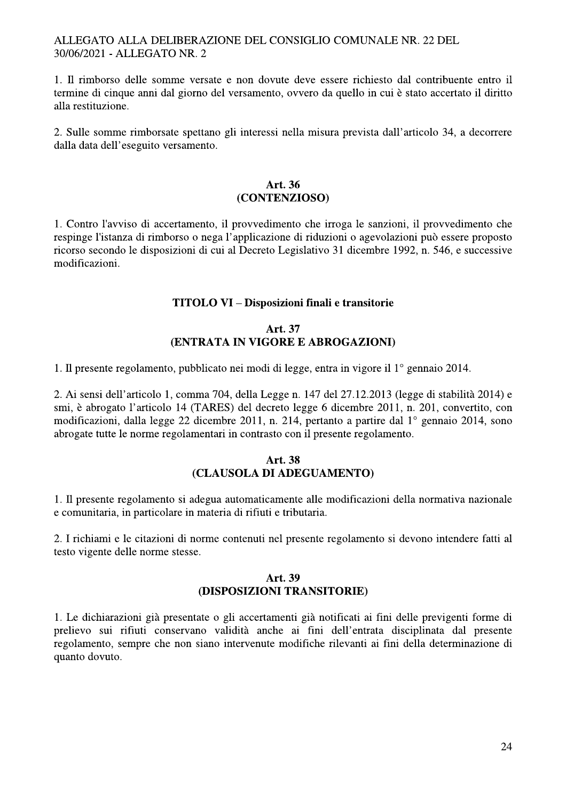1. Il rimborso delle somme versate e non dovute deve essere richiesto dal contribuente entro il termine di cinque anni dal giorno del versamento, ovvero da quello in cui è stato accertato il diritto alla restituzione.

2. Sulle somme rimborsate spettano gli interessi nella misura prevista dall'articolo 34, a decorrere dalla data dell'eseguito versamento.

#### Art. 36 (CONTENZIOSO)

1. Contro l'avviso di accertamento, il provvedimento che irroga le sanzioni, il provvedimento che respinge l'istanza di rimborso o nega l'applicazione di riduzioni o agevolazioni può essere proposto ricorso secondo le disposizioni di cui al Decreto Legislativo 31 dicembre 1992, n. 546, e successive modificazioni.

# **TITOLO VI - Disposizioni finali e transitorie**

#### Art. 37 (ENTRATA IN VIGORE E ABROGAZIONI)

1. Il presente regolamento, pubblicato nei modi di legge, entra in vigore il 1º gennaio 2014.

2. Ai sensi dell'articolo 1, comma 704, della Legge n. 147 del 27.12.2013 (legge di stabilità 2014) e smi, è abrogato l'articolo 14 (TARES) del decreto legge 6 dicembre 2011, n. 201, convertito, con modificazioni, dalla legge 22 dicembre 2011, n. 214, pertanto a partire dal 1º gennaio 2014, sono abrogate tutte le norme regolamentari in contrasto con il presente regolamento.

#### Art. 38 (CLAUSOLA DI ADEGUAMENTO)

1. Il presente regolamento si adegua automaticamente alle modificazioni della normativa nazionale e comunitaria, in particolare in materia di rifiuti e tributaria.

2. I richiami e le citazioni di norme contenuti nel presente regolamento si devono intendere fatti al testo vigente delle norme stesse.

#### Art. 39 (DISPOSIZIONI TRANSITORIE)

1. Le dichiarazioni già presentate o gli accertamenti già notificati ai fini delle previgenti forme di prelievo sui rifiuti conservano validità anche ai fini dell'entrata disciplinata dal presente regolamento, sempre che non siano intervenute modifiche rilevanti ai fini della determinazione di quanto dovuto.